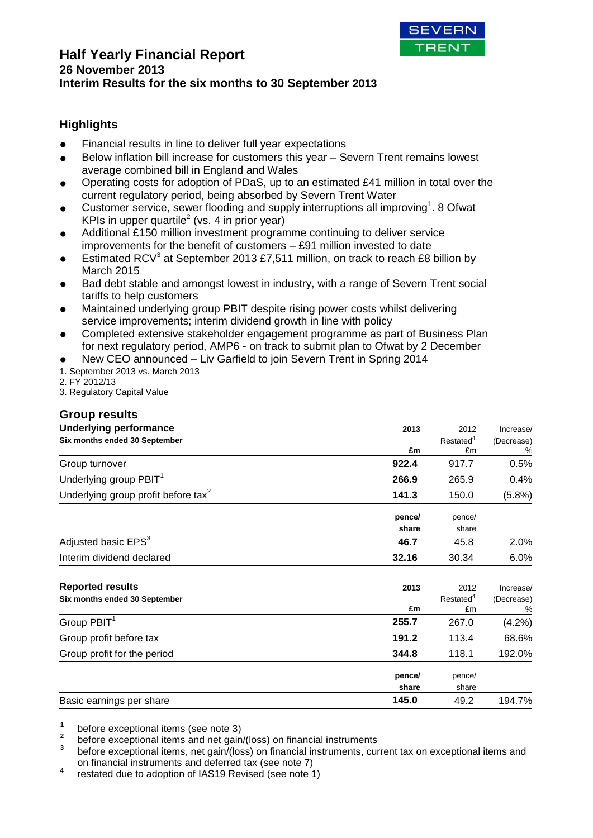

## **Half Yearly Financial Report 26 November 2013 Interim Results for the six months to 30 September 2013**

# **Highlights**

- **●** Financial results in line to deliver full year expectations
- Below inflation bill increase for customers this year Severn Trent remains lowest average combined bill in England and Wales
- **●** Operating costs for adoption of PDaS, up to an estimated £41 million in total over the current regulatory period, being absorbed by Severn Trent Water
- **•** Customer service, sewer flooding and supply interruptions all improving<sup>1</sup>. 8 Ofwat KPIs in upper quartile<sup>2</sup> (vs. 4 in prior year)
- Additional £150 million investment programme continuing to deliver service improvements for the benefit of customers – £91 million invested to date
- Estimated RCV<sup>3</sup> at September 2013 £7,511 million, on track to reach £8 billion by March 2015
- Bad debt stable and amongst lowest in industry, with a range of Severn Trent social tariffs to help customers
- Maintained underlying group PBIT despite rising power costs whilst delivering service improvements; interim dividend growth in line with policy
- **●** Completed extensive stakeholder engagement programme as part of Business Plan for next regulatory period, AMP6 - on track to submit plan to Ofwat by 2 December
- New CEO announced Liv Garfield to join Severn Trent in Spring 2014
- 1. September 2013 vs. March 2013
- 2. FY 2012/13
- 3. Regulatory Capital Value

| Group results                                   |                 |                             |                 |
|-------------------------------------------------|-----------------|-----------------------------|-----------------|
| <b>Underlying performance</b>                   | 2013            | 2012                        | Increase/       |
| Six months ended 30 September                   |                 | Restated <sup>4</sup>       | (Decrease)      |
|                                                 | £m              | £m                          | %               |
| Group turnover                                  | 922.4           | 917.7                       | 0.5%            |
| Underlying group PBIT <sup>1</sup>              | 266.9           | 265.9                       | 0.4%            |
| Underlying group profit before tax <sup>2</sup> | 141.3           | 150.0                       | (5.8%)          |
|                                                 | pence/<br>share | pence/<br>share             |                 |
| Adjusted basic EPS <sup>3</sup>                 | 46.7            | 45.8                        | 2.0%            |
| Interim dividend declared                       | 32.16           | 30.34                       | 6.0%            |
| <b>Reported results</b>                         | 2013            | 2012                        | Increase/       |
| Six months ended 30 September                   | £m              | Restated <sup>4</sup><br>£m | (Decrease)<br>% |
| Group $PBIT1$                                   | 255.7           | 267.0                       | (4.2%)          |
| Group profit before tax                         | 191.2           | 113.4                       | 68.6%           |
| Group profit for the period                     | 344.8           | 118.1                       | 192.0%          |
|                                                 | pence/<br>share | pence/<br>share             |                 |
| Basic earnings per share                        | 145.0           | 49.2                        | 194.7%          |

**1** before exceptional items (see note 3)

- **2** before exceptional items and net gain/(loss) on financial instruments
- **3** before exceptional items, net gain/(loss) on financial instruments, current tax on exceptional items and on financial instruments and deferred tax (see note 7)
- <sup>4</sup> restated due to adoption of IAS19 Revised (see note 1)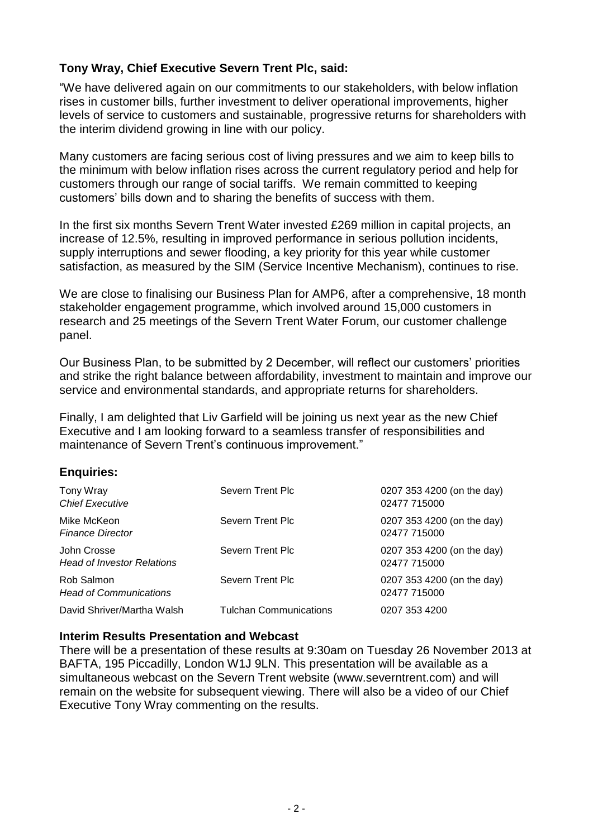# **Tony Wray, Chief Executive Severn Trent Plc, said:**

"We have delivered again on our commitments to our stakeholders, with below inflation rises in customer bills, further investment to deliver operational improvements, higher levels of service to customers and sustainable, progressive returns for shareholders with the interim dividend growing in line with our policy.

Many customers are facing serious cost of living pressures and we aim to keep bills to the minimum with below inflation rises across the current regulatory period and help for customers through our range of social tariffs. We remain committed to keeping customers' bills down and to sharing the benefits of success with them.

In the first six months Severn Trent Water invested £269 million in capital projects, an increase of 12.5%, resulting in improved performance in serious pollution incidents, supply interruptions and sewer flooding, a key priority for this year while customer satisfaction, as measured by the SIM (Service Incentive Mechanism), continues to rise.

We are close to finalising our Business Plan for AMP6, after a comprehensive, 18 month stakeholder engagement programme, which involved around 15,000 customers in research and 25 meetings of the Severn Trent Water Forum, our customer challenge panel.

Our Business Plan, to be submitted by 2 December, will reflect our customers' priorities and strike the right balance between affordability, investment to maintain and improve our service and environmental standards, and appropriate returns for shareholders.

Finally, I am delighted that Liv Garfield will be joining us next year as the new Chief Executive and I am looking forward to a seamless transfer of responsibilities and maintenance of Severn Trent's continuous improvement."

## **Enquiries:**

| Tony Wray<br><b>Chief Executive</b>              | Severn Trent Plc              | 0207 353 4200 (on the day)<br>02477 715000 |
|--------------------------------------------------|-------------------------------|--------------------------------------------|
| Mike McKeon<br><b>Finance Director</b>           | Severn Trent Plc              | 0207 353 4200 (on the day)<br>02477 715000 |
| John Crosse<br><b>Head of Investor Relations</b> | Severn Trent Plc              | 0207 353 4200 (on the day)<br>02477 715000 |
| Rob Salmon<br><b>Head of Communications</b>      | Severn Trent Plc              | 0207 353 4200 (on the day)<br>02477 715000 |
| David Shriver/Martha Walsh                       | <b>Tulchan Communications</b> | 0207 353 4200                              |

## **Interim Results Presentation and Webcast**

There will be a presentation of these results at 9:30am on Tuesday 26 November 2013 at BAFTA, 195 Piccadilly, London W1J 9LN. This presentation will be available as a simultaneous webcast on the Severn Trent website (www.severntrent.com) and will remain on the website for subsequent viewing. There will also be a video of our Chief Executive Tony Wray commenting on the results.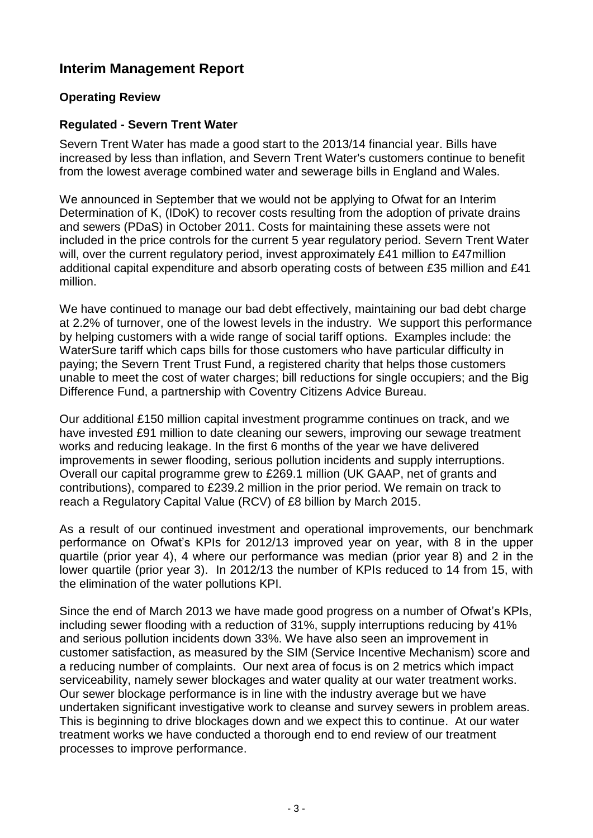# **Interim Management Report**

## **Operating Review**

## **Regulated - Severn Trent Water**

Severn Trent Water has made a good start to the 2013/14 financial year. Bills have increased by less than inflation, and Severn Trent Water's customers continue to benefit from the lowest average combined water and sewerage bills in England and Wales.

We announced in September that we would not be applying to Ofwat for an Interim Determination of K, (IDoK) to recover costs resulting from the adoption of private drains and sewers (PDaS) in October 2011. Costs for maintaining these assets were not included in the price controls for the current 5 year regulatory period. Severn Trent Water will, over the current regulatory period, invest approximately £41 million to £47 million additional capital expenditure and absorb operating costs of between £35 million and £41 million.

We have continued to manage our bad debt effectively, maintaining our bad debt charge at 2.2% of turnover, one of the lowest levels in the industry. We support this performance by helping customers with a wide range of social tariff options. Examples include: the WaterSure tariff which caps bills for those customers who have particular difficulty in paying; the Severn Trent Trust Fund, a registered charity that helps those customers unable to meet the cost of water charges; bill reductions for single occupiers; and the Big Difference Fund, a partnership with Coventry Citizens Advice Bureau.

Our additional £150 million capital investment programme continues on track, and we have invested £91 million to date cleaning our sewers, improving our sewage treatment works and reducing leakage. In the first 6 months of the year we have delivered improvements in sewer flooding, serious pollution incidents and supply interruptions. Overall our capital programme grew to £269.1 million (UK GAAP, net of grants and contributions), compared to £239.2 million in the prior period. We remain on track to reach a Regulatory Capital Value (RCV) of £8 billion by March 2015.

As a result of our continued investment and operational improvements, our benchmark performance on Ofwat's KPIs for 2012/13 improved year on year, with 8 in the upper quartile (prior year 4), 4 where our performance was median (prior year 8) and 2 in the lower quartile (prior year 3). In 2012/13 the number of KPIs reduced to 14 from 15, with the elimination of the water pollutions KPI.

Since the end of March 2013 we have made good progress on a number of Ofwat's KPIs, including sewer flooding with a reduction of 31%, supply interruptions reducing by 41% and serious pollution incidents down 33%. We have also seen an improvement in customer satisfaction, as measured by the SIM (Service Incentive Mechanism) score and a reducing number of complaints. Our next area of focus is on 2 metrics which impact serviceability, namely sewer blockages and water quality at our water treatment works. Our sewer blockage performance is in line with the industry average but we have undertaken significant investigative work to cleanse and survey sewers in problem areas. This is beginning to drive blockages down and we expect this to continue. At our water treatment works we have conducted a thorough end to end review of our treatment processes to improve performance.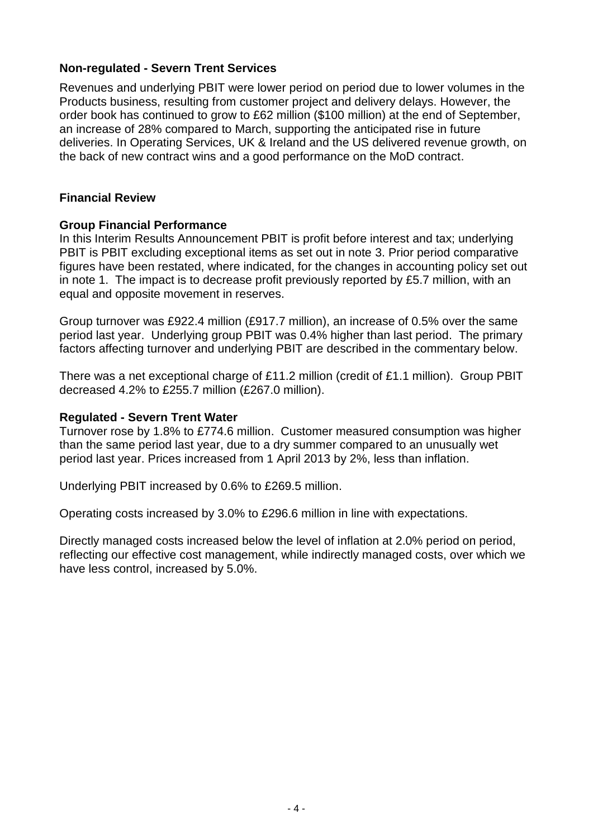## **Non-regulated - Severn Trent Services**

Revenues and underlying PBIT were lower period on period due to lower volumes in the Products business, resulting from customer project and delivery delays. However, the order book has continued to grow to £62 million (\$100 million) at the end of September, an increase of 28% compared to March, supporting the anticipated rise in future deliveries. In Operating Services, UK & Ireland and the US delivered revenue growth, on the back of new contract wins and a good performance on the MoD contract.

## **Financial Review**

## **Group Financial Performance**

In this Interim Results Announcement PBIT is profit before interest and tax; underlying PBIT is PBIT excluding exceptional items as set out in note 3. Prior period comparative figures have been restated, where indicated, for the changes in accounting policy set out in note 1. The impact is to decrease profit previously reported by £5.7 million, with an equal and opposite movement in reserves.

Group turnover was £922.4 million (£917.7 million), an increase of 0.5% over the same period last year. Underlying group PBIT was 0.4% higher than last period. The primary factors affecting turnover and underlying PBIT are described in the commentary below.

There was a net exceptional charge of £11.2 million (credit of £1.1 million). Group PBIT decreased 4.2% to £255.7 million (£267.0 million).

## **Regulated - Severn Trent Water**

Turnover rose by 1.8% to £774.6 million. Customer measured consumption was higher than the same period last year, due to a dry summer compared to an unusually wet period last year. Prices increased from 1 April 2013 by 2%, less than inflation.

Underlying PBIT increased by 0.6% to £269.5 million.

Operating costs increased by 3.0% to £296.6 million in line with expectations.

Directly managed costs increased below the level of inflation at 2.0% period on period, reflecting our effective cost management, while indirectly managed costs, over which we have less control, increased by 5.0%.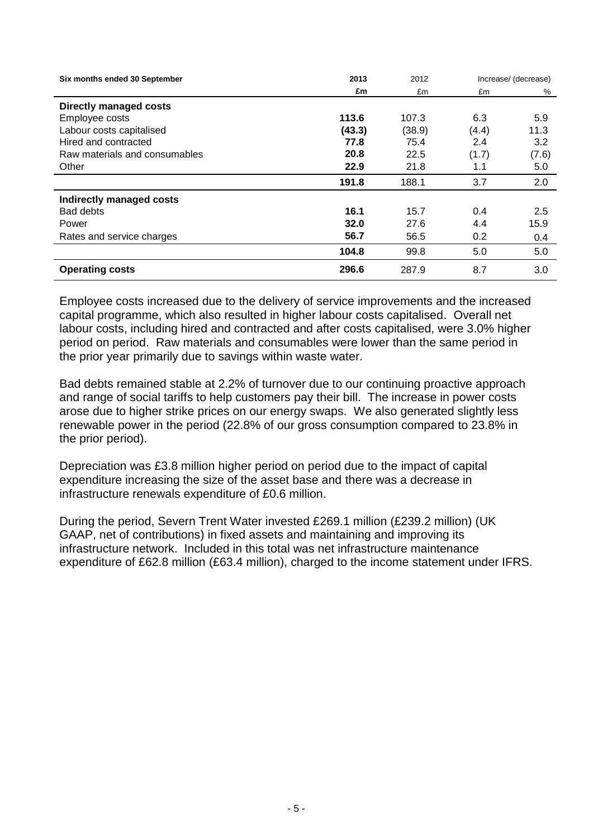| Six months ended 30 September | 2013   | 2012   | Increase/ (decrease) |       |
|-------------------------------|--------|--------|----------------------|-------|
|                               | £m     | £m     | £m                   | $\%$  |
| <b>Directly managed costs</b> |        |        |                      |       |
| Employee costs                | 113.6  | 107.3  | 6.3                  | 5.9   |
| Labour costs capitalised      | (43.3) | (38.9) | (4.4)                | 11.3  |
| Hired and contracted          | 77.8   | 75.4   | 2.4                  | 3.2   |
| Raw materials and consumables | 20.8   | 22.5   | (1.7)                | (7.6) |
| Other                         | 22.9   | 21.8   | 1.1                  | 5.0   |
|                               | 191.8  | 188.1  | 3.7                  | 2.0   |
| Indirectly managed costs      |        |        |                      |       |
| <b>Bad debts</b>              | 16.1   | 15.7   | 0.4                  | 2.5   |
| Power                         | 32.0   | 27.6   | 4.4                  | 15.9  |
| Rates and service charges     | 56.7   | 56.5   | $0.2^{\circ}$        | 0.4   |
|                               | 104.8  | 99.8   | 5.0                  | 5.0   |
| <b>Operating costs</b>        | 296.6  | 287.9  | 8.7                  | 3.0   |

Employee costs increased due to the delivery of service improvements and the increased capital programme, which also resulted in higher labour costs capitalised. Overall net labour costs, including hired and contracted and after costs capitalised, were 3.0% higher period on period. Raw materials and consumables were lower than the same period in the prior year primarily due to savings within waste water.

Bad debts remained stable at 2.2% of turnover due to our continuing proactive approach and range of social tariffs to help customers pay their bill. The increase in power costs arose due to higher strike prices on our energy swaps. We also generated slightly less renewable power in the period (22.8% of our gross consumption compared to 23.8% in the prior period).

Depreciation was £3.8 million higher period on period due to the impact of capital expenditure increasing the size of the asset base and there was a decrease in infrastructure renewals expenditure of £0.6 million.

During the period, Severn Trent Water invested £269.1 million (£239.2 million) (UK GAAP, net of contributions) in fixed assets and maintaining and improving its infrastructure network. Included in this total was net infrastructure maintenance expenditure of £62.8 million (£63.4 million), charged to the income statement under IFRS.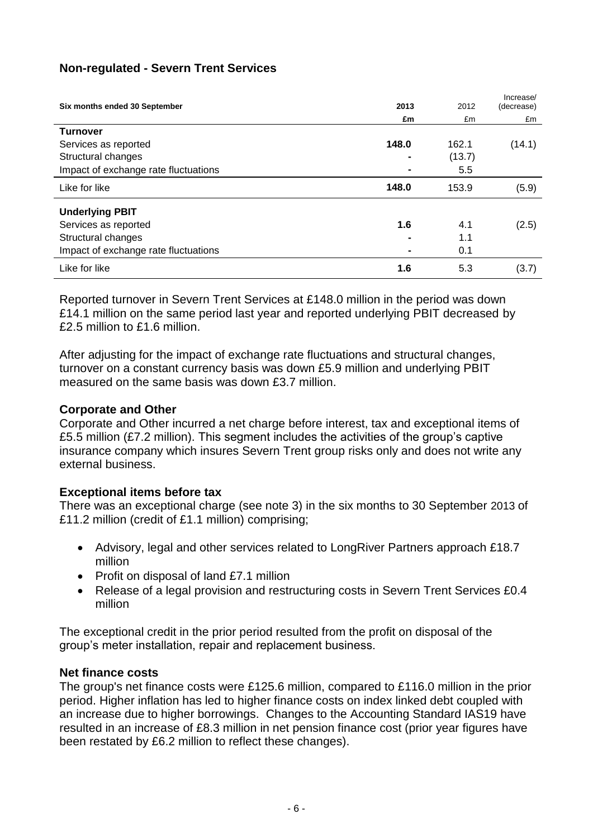# **Non-regulated - Severn Trent Services**

| Six months ended 30 September        | 2013           | 2012   | Increase/<br>(decrease) |
|--------------------------------------|----------------|--------|-------------------------|
|                                      | £m             | £m     | £m                      |
| <b>Turnover</b>                      |                |        |                         |
| Services as reported                 | 148.0          | 162.1  | (14.1)                  |
| Structural changes                   |                | (13.7) |                         |
| Impact of exchange rate fluctuations |                | 5.5    |                         |
| Like for like                        | 148.0          | 153.9  | (5.9)                   |
| <b>Underlying PBIT</b>               |                |        |                         |
| Services as reported                 | 1.6            | 4.1    | (2.5)                   |
| Structural changes                   | $\blacksquare$ | 1.1    |                         |
| Impact of exchange rate fluctuations |                | 0.1    |                         |
| Like for like                        | 1.6            | 5.3    | (3.7)                   |

Reported turnover in Severn Trent Services at £148.0 million in the period was down £14.1 million on the same period last year and reported underlying PBIT decreased by £2.5 million to £1.6 million.

After adjusting for the impact of exchange rate fluctuations and structural changes, turnover on a constant currency basis was down £5.9 million and underlying PBIT measured on the same basis was down £3.7 million.

## **Corporate and Other**

Corporate and Other incurred a net charge before interest, tax and exceptional items of £5.5 million (£7.2 million). This segment includes the activities of the group's captive insurance company which insures Severn Trent group risks only and does not write any external business.

## **Exceptional items before tax**

There was an exceptional charge (see note 3) in the six months to 30 September 2013 of £11.2 million (credit of £1.1 million) comprising;

- Advisory, legal and other services related to LongRiver Partners approach £18.7 million
- Profit on disposal of land £7.1 million
- Release of a legal provision and restructuring costs in Severn Trent Services £0.4 million

The exceptional credit in the prior period resulted from the profit on disposal of the group's meter installation, repair and replacement business.

## **Net finance costs**

The group's net finance costs were £125.6 million, compared to £116.0 million in the prior period. Higher inflation has led to higher finance costs on index linked debt coupled with an increase due to higher borrowings. Changes to the Accounting Standard IAS19 have resulted in an increase of £8.3 million in net pension finance cost (prior year figures have been restated by £6.2 million to reflect these changes).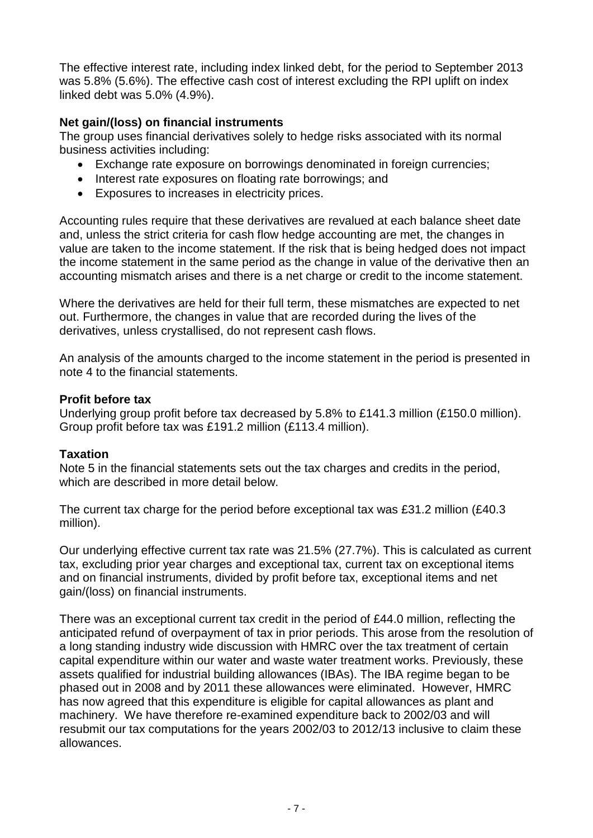The effective interest rate, including index linked debt, for the period to September 2013 was 5.8% (5.6%). The effective cash cost of interest excluding the RPI uplift on index linked debt was 5.0% (4.9%).

## **Net gain/(loss) on financial instruments**

The group uses financial derivatives solely to hedge risks associated with its normal business activities including:

- Exchange rate exposure on borrowings denominated in foreign currencies;
- Interest rate exposures on floating rate borrowings; and
- Exposures to increases in electricity prices.

Accounting rules require that these derivatives are revalued at each balance sheet date and, unless the strict criteria for cash flow hedge accounting are met, the changes in value are taken to the income statement. If the risk that is being hedged does not impact the income statement in the same period as the change in value of the derivative then an accounting mismatch arises and there is a net charge or credit to the income statement.

Where the derivatives are held for their full term, these mismatches are expected to net out. Furthermore, the changes in value that are recorded during the lives of the derivatives, unless crystallised, do not represent cash flows.

An analysis of the amounts charged to the income statement in the period is presented in note 4 to the financial statements.

## **Profit before tax**

Underlying group profit before tax decreased by 5.8% to £141.3 million (£150.0 million). Group profit before tax was £191.2 million (£113.4 million).

## **Taxation**

Note 5 in the financial statements sets out the tax charges and credits in the period, which are described in more detail below.

The current tax charge for the period before exceptional tax was £31.2 million (£40.3 million).

Our underlying effective current tax rate was 21.5% (27.7%). This is calculated as current tax, excluding prior year charges and exceptional tax, current tax on exceptional items and on financial instruments, divided by profit before tax, exceptional items and net gain/(loss) on financial instruments.

There was an exceptional current tax credit in the period of £44.0 million, reflecting the anticipated refund of overpayment of tax in prior periods. This arose from the resolution of a long standing industry wide discussion with HMRC over the tax treatment of certain capital expenditure within our water and waste water treatment works. Previously, these assets qualified for industrial building allowances (IBAs). The IBA regime began to be phased out in 2008 and by 2011 these allowances were eliminated. However, HMRC has now agreed that this expenditure is eligible for capital allowances as plant and machinery. We have therefore re-examined expenditure back to 2002/03 and will resubmit our tax computations for the years 2002/03 to 2012/13 inclusive to claim these allowances.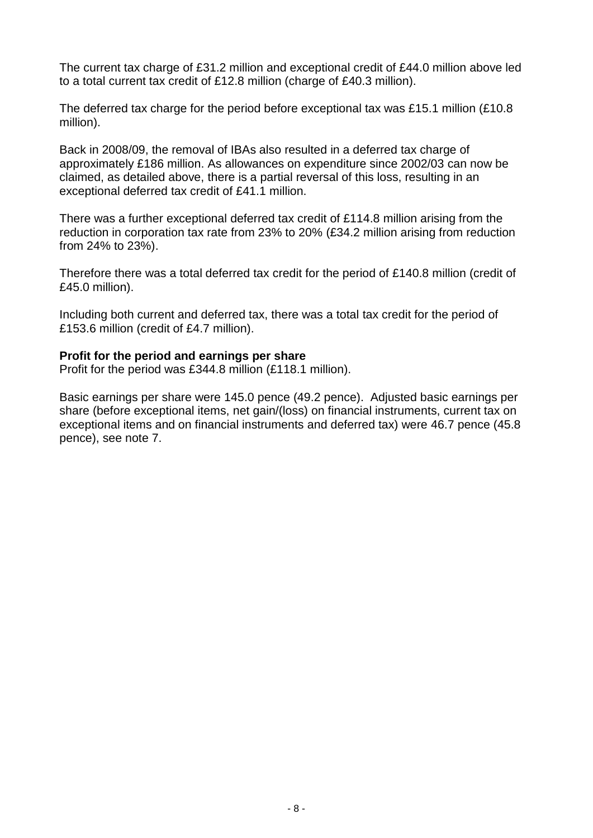The current tax charge of £31.2 million and exceptional credit of £44.0 million above led to a total current tax credit of £12.8 million (charge of £40.3 million).

The deferred tax charge for the period before exceptional tax was £15.1 million (£10.8 million).

Back in 2008/09, the removal of IBAs also resulted in a deferred tax charge of approximately £186 million. As allowances on expenditure since 2002/03 can now be claimed, as detailed above, there is a partial reversal of this loss, resulting in an exceptional deferred tax credit of £41.1 million.

There was a further exceptional deferred tax credit of £114.8 million arising from the reduction in corporation tax rate from 23% to 20% (£34.2 million arising from reduction from 24% to 23%).

Therefore there was a total deferred tax credit for the period of £140.8 million (credit of £45.0 million).

Including both current and deferred tax, there was a total tax credit for the period of £153.6 million (credit of £4.7 million).

## **Profit for the period and earnings per share**

Profit for the period was £344.8 million (£118.1 million).

Basic earnings per share were 145.0 pence (49.2 pence). Adjusted basic earnings per share (before exceptional items, net gain/(loss) on financial instruments, current tax on exceptional items and on financial instruments and deferred tax) were 46.7 pence (45.8 pence), see note 7.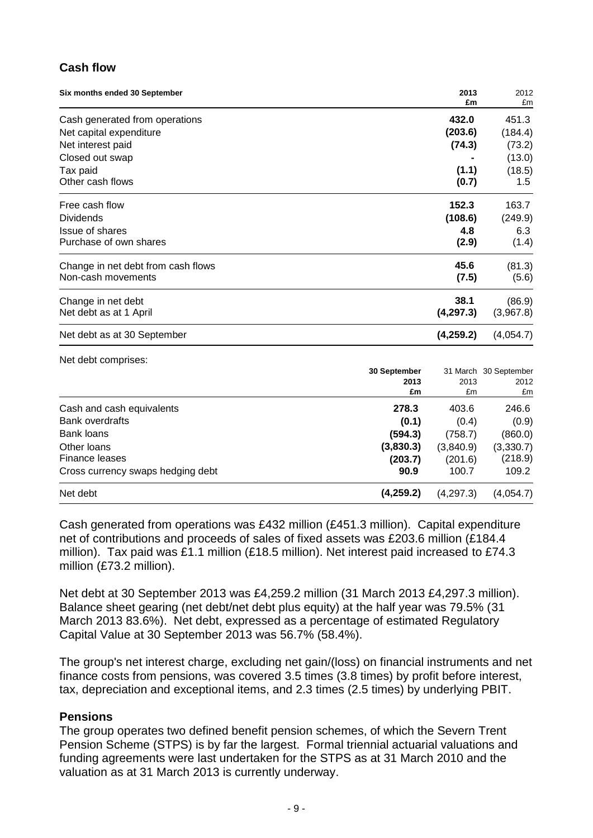# **Cash flow**

| Six months ended 30 September      |              | 2013<br>£m | 2012<br>£m            |
|------------------------------------|--------------|------------|-----------------------|
| Cash generated from operations     |              | 432.0      | 451.3                 |
| Net capital expenditure            |              | (203.6)    | (184.4)               |
| Net interest paid                  |              | (74.3)     | (73.2)                |
| Closed out swap                    |              |            | (13.0)                |
| Tax paid                           |              | (1.1)      | (18.5)                |
| Other cash flows                   |              | (0.7)      | 1.5                   |
| Free cash flow                     |              | 152.3      | 163.7                 |
| <b>Dividends</b>                   |              | (108.6)    | (249.9)               |
| Issue of shares                    |              | 4.8        | 6.3                   |
| Purchase of own shares             |              | (2.9)      | (1.4)                 |
| Change in net debt from cash flows |              | 45.6       | (81.3)                |
| Non-cash movements                 |              | (7.5)      | (5.6)                 |
| Change in net debt                 |              | 38.1       | (86.9)                |
| Net debt as at 1 April             |              | (4, 297.3) | (3,967.8)             |
| Net debt as at 30 September        |              | (4,259.2)  | (4,054.7)             |
| Net debt comprises:                |              |            |                       |
|                                    | 30 September |            | 31 March 30 September |
|                                    | 2013         | 2013       | 2012                  |
|                                    | £m           | £m         | £m                    |
| Cash and cash equivalents          | 278.3        | 403.6      | 246.6                 |
| <b>Bank overdrafts</b>             | (0.1)        | (0.4)      | (0.9)                 |
| <b>Bank loans</b>                  | (594.3)      | (758.7)    | (860.0)               |
| Other Ioans                        | (3,830.3)    | (3,840.9)  | (3,330.7)             |
| <b>Finance leases</b>              | (203.7)      | (201.6)    | (218.9)               |
| Cross currency swaps hedging debt  | 90.9         | 100.7      | 109.2                 |

Cash generated from operations was £432 million (£451.3 million). Capital expenditure net of contributions and proceeds of sales of fixed assets was £203.6 million (£184.4 million). Tax paid was £1.1 million (£18.5 million). Net interest paid increased to £74.3 million (£73.2 million).

Net debt **(4,259.2)** (4,297.3) (4,054.7)

Net debt at 30 September 2013 was £4,259.2 million (31 March 2013 £4,297.3 million). Balance sheet gearing (net debt/net debt plus equity) at the half year was 79.5% (31 March 2013 83.6%). Net debt, expressed as a percentage of estimated Regulatory Capital Value at 30 September 2013 was 56.7% (58.4%).

The group's net interest charge, excluding net gain/(loss) on financial instruments and net finance costs from pensions, was covered 3.5 times (3.8 times) by profit before interest, tax, depreciation and exceptional items, and 2.3 times (2.5 times) by underlying PBIT.

## **Pensions**

The group operates two defined benefit pension schemes, of which the Severn Trent Pension Scheme (STPS) is by far the largest. Formal triennial actuarial valuations and funding agreements were last undertaken for the STPS as at 31 March 2010 and the valuation as at 31 March 2013 is currently underway.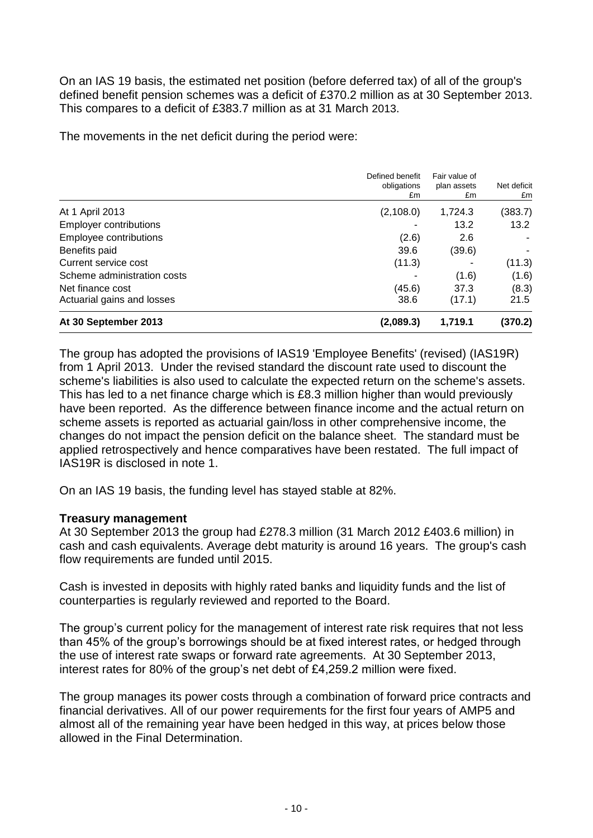On an IAS 19 basis, the estimated net position (before deferred tax) of all of the group's defined benefit pension schemes was a deficit of £370.2 million as at 30 September 2013. This compares to a deficit of £383.7 million as at 31 March 2013.

The movements in the net deficit during the period were:

|                               | Defined benefit<br>obligations<br>£m | Fair value of<br>plan assets<br>£m | Net deficit<br>£m |
|-------------------------------|--------------------------------------|------------------------------------|-------------------|
| At 1 April 2013               | (2,108.0)                            | 1,724.3                            | (383.7)           |
| <b>Employer contributions</b> |                                      | 13.2                               | 13.2              |
| Employee contributions        | (2.6)                                | 2.6                                |                   |
| Benefits paid                 | 39.6                                 | (39.6)                             |                   |
| Current service cost          | (11.3)                               |                                    | (11.3)            |
| Scheme administration costs   |                                      | (1.6)                              | (1.6)             |
| Net finance cost              | (45.6)                               | 37.3                               | (8.3)             |
| Actuarial gains and losses    | 38.6                                 | (17.1)                             | 21.5              |
| At 30 September 2013          | (2,089.3)                            | 1,719.1                            | (370.2)           |

The group has adopted the provisions of IAS19 'Employee Benefits' (revised) (IAS19R) from 1 April 2013. Under the revised standard the discount rate used to discount the scheme's liabilities is also used to calculate the expected return on the scheme's assets. This has led to a net finance charge which is £8.3 million higher than would previously have been reported. As the difference between finance income and the actual return on scheme assets is reported as actuarial gain/loss in other comprehensive income, the changes do not impact the pension deficit on the balance sheet. The standard must be applied retrospectively and hence comparatives have been restated. The full impact of IAS19R is disclosed in note 1.

On an IAS 19 basis, the funding level has stayed stable at 82%.

### **Treasury management**

At 30 September 2013 the group had £278.3 million (31 March 2012 £403.6 million) in cash and cash equivalents. Average debt maturity is around 16 years. The group's cash flow requirements are funded until 2015.

Cash is invested in deposits with highly rated banks and liquidity funds and the list of counterparties is regularly reviewed and reported to the Board.

The group's current policy for the management of interest rate risk requires that not less than 45% of the group's borrowings should be at fixed interest rates, or hedged through the use of interest rate swaps or forward rate agreements. At 30 September 2013, interest rates for 80% of the group's net debt of £4,259.2 million were fixed.

The group manages its power costs through a combination of forward price contracts and financial derivatives. All of our power requirements for the first four years of AMP5 and almost all of the remaining year have been hedged in this way, at prices below those allowed in the Final Determination.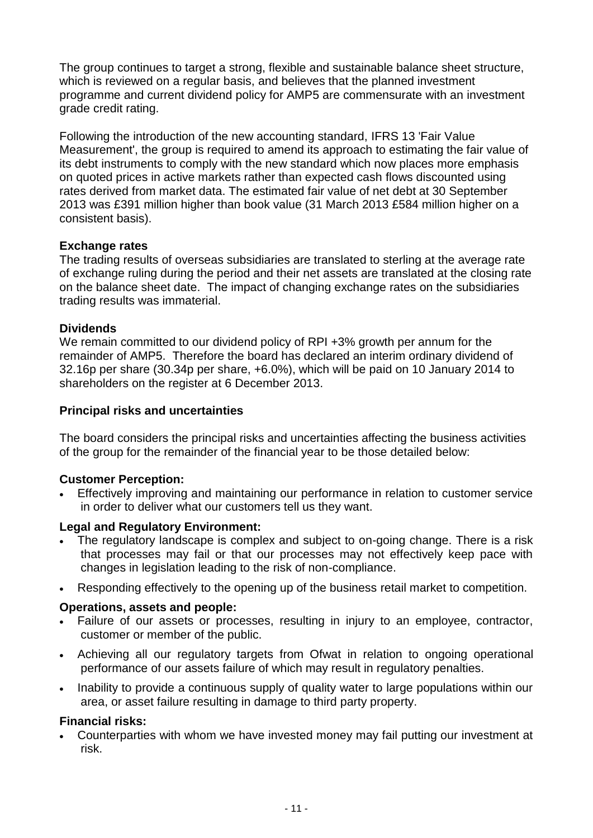The group continues to target a strong, flexible and sustainable balance sheet structure, which is reviewed on a regular basis, and believes that the planned investment programme and current dividend policy for AMP5 are commensurate with an investment grade credit rating.

Following the introduction of the new accounting standard, IFRS 13 'Fair Value Measurement', the group is required to amend its approach to estimating the fair value of its debt instruments to comply with the new standard which now places more emphasis on quoted prices in active markets rather than expected cash flows discounted using rates derived from market data. The estimated fair value of net debt at 30 September 2013 was £391 million higher than book value (31 March 2013 £584 million higher on a consistent basis).

## **Exchange rates**

The trading results of overseas subsidiaries are translated to sterling at the average rate of exchange ruling during the period and their net assets are translated at the closing rate on the balance sheet date. The impact of changing exchange rates on the subsidiaries trading results was immaterial.

### **Dividends**

We remain committed to our dividend policy of RPI +3% growth per annum for the remainder of AMP5. Therefore the board has declared an interim ordinary dividend of 32.16p per share (30.34p per share, +6.0%), which will be paid on 10 January 2014 to shareholders on the register at 6 December 2013.

### **Principal risks and uncertainties**

The board considers the principal risks and uncertainties affecting the business activities of the group for the remainder of the financial year to be those detailed below:

## **Customer Perception:**

 Effectively improving and maintaining our performance in relation to customer service in order to deliver what our customers tell us they want.

### **Legal and Regulatory Environment:**

- The regulatory landscape is complex and subject to on-going change. There is a risk that processes may fail or that our processes may not effectively keep pace with changes in legislation leading to the risk of non-compliance.
- Responding effectively to the opening up of the business retail market to competition.

### **Operations, assets and people:**

- Failure of our assets or processes, resulting in injury to an employee, contractor, customer or member of the public.
- Achieving all our regulatory targets from Ofwat in relation to ongoing operational performance of our assets failure of which may result in regulatory penalties.
- Inability to provide a continuous supply of quality water to large populations within our area, or asset failure resulting in damage to third party property.

### **Financial risks:**

 Counterparties with whom we have invested money may fail putting our investment at risk.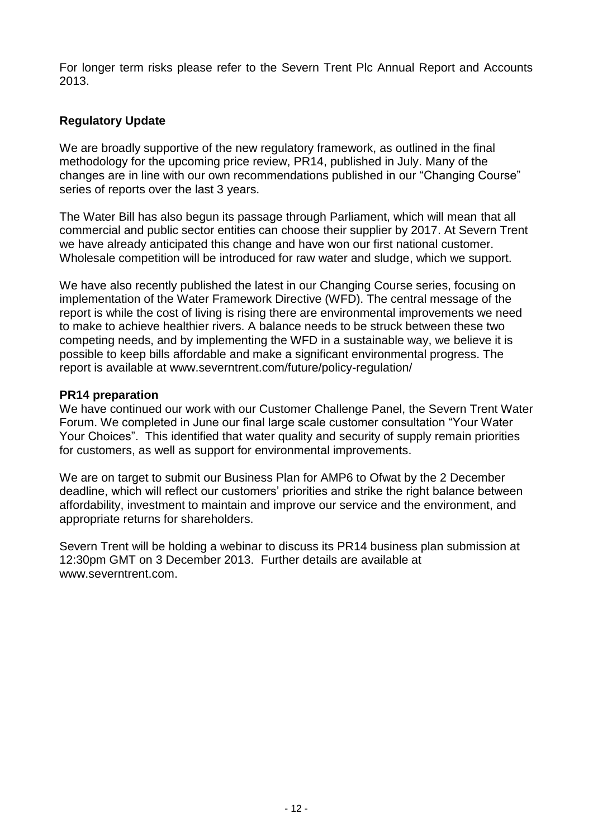For longer term risks please refer to the Severn Trent Plc Annual Report and Accounts 2013.

# **Regulatory Update**

We are broadly supportive of the new regulatory framework, as outlined in the final methodology for the upcoming price review, PR14, published in July. Many of the changes are in line with our own recommendations published in our "Changing Course" series of reports over the last 3 years.

The Water Bill has also begun its passage through Parliament, which will mean that all commercial and public sector entities can choose their supplier by 2017. At Severn Trent we have already anticipated this change and have won our first national customer. Wholesale competition will be introduced for raw water and sludge, which we support.

We have also recently published the latest in our Changing Course series, focusing on implementation of the Water Framework Directive (WFD). The central message of the report is while the cost of living is rising there are environmental improvements we need to make to achieve healthier rivers. A balance needs to be struck between these two competing needs, and by implementing the WFD in a sustainable way, we believe it is possible to keep bills affordable and make a significant environmental progress. The report is available at www.severntrent.com/future/policy-regulation/

## **PR14 preparation**

We have continued our work with our Customer Challenge Panel, the Severn Trent Water Forum. We completed in June our final large scale customer consultation "Your Water Your Choices". This identified that water quality and security of supply remain priorities for customers, as well as support for environmental improvements.

We are on target to submit our Business Plan for AMP6 to Ofwat by the 2 December deadline, which will reflect our customers' priorities and strike the right balance between affordability, investment to maintain and improve our service and the environment, and appropriate returns for shareholders.

Severn Trent will be holding a webinar to discuss its PR14 business plan submission at 12:30pm GMT on 3 December 2013. Further details are available at www.severntrent.com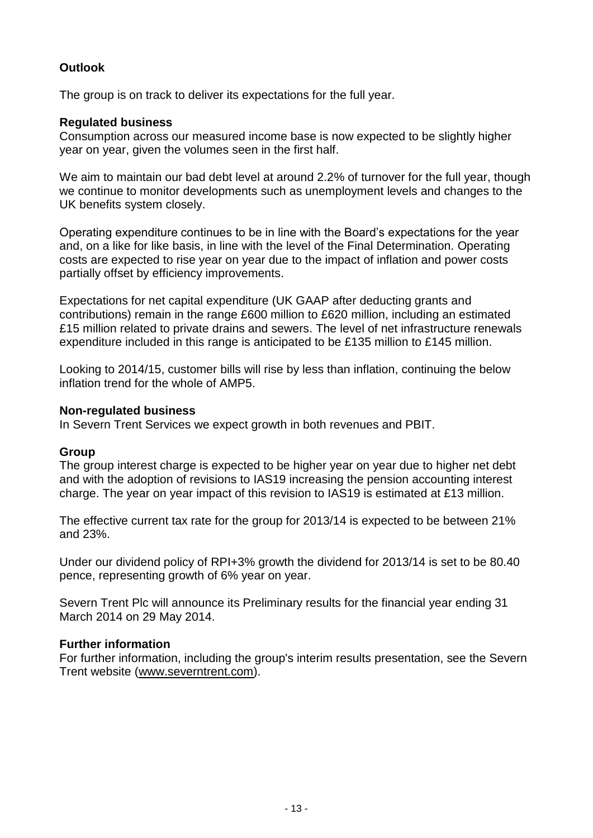# **Outlook**

The group is on track to deliver its expectations for the full year.

### **Regulated business**

Consumption across our measured income base is now expected to be slightly higher year on year, given the volumes seen in the first half.

We aim to maintain our bad debt level at around 2.2% of turnover for the full year, though we continue to monitor developments such as unemployment levels and changes to the UK benefits system closely.

Operating expenditure continues to be in line with the Board's expectations for the year and, on a like for like basis, in line with the level of the Final Determination. Operating costs are expected to rise year on year due to the impact of inflation and power costs partially offset by efficiency improvements.

Expectations for net capital expenditure (UK GAAP after deducting grants and contributions) remain in the range £600 million to £620 million, including an estimated £15 million related to private drains and sewers. The level of net infrastructure renewals expenditure included in this range is anticipated to be £135 million to £145 million.

Looking to 2014/15, customer bills will rise by less than inflation, continuing the below inflation trend for the whole of AMP5.

### **Non-regulated business**

In Severn Trent Services we expect growth in both revenues and PBIT.

## **Group**

The group interest charge is expected to be higher year on year due to higher net debt and with the adoption of revisions to IAS19 increasing the pension accounting interest charge. The year on year impact of this revision to IAS19 is estimated at £13 million.

The effective current tax rate for the group for 2013/14 is expected to be between 21% and 23%.

Under our dividend policy of RPI+3% growth the dividend for 2013/14 is set to be 80.40 pence, representing growth of 6% year on year.

Severn Trent Plc will announce its Preliminary results for the financial year ending 31 March 2014 on 29 May 2014.

## **Further information**

For further information, including the group's interim results presentation, see the Severn Trent website [\(www.severntrent.com\)](http://www.severntrent.com/).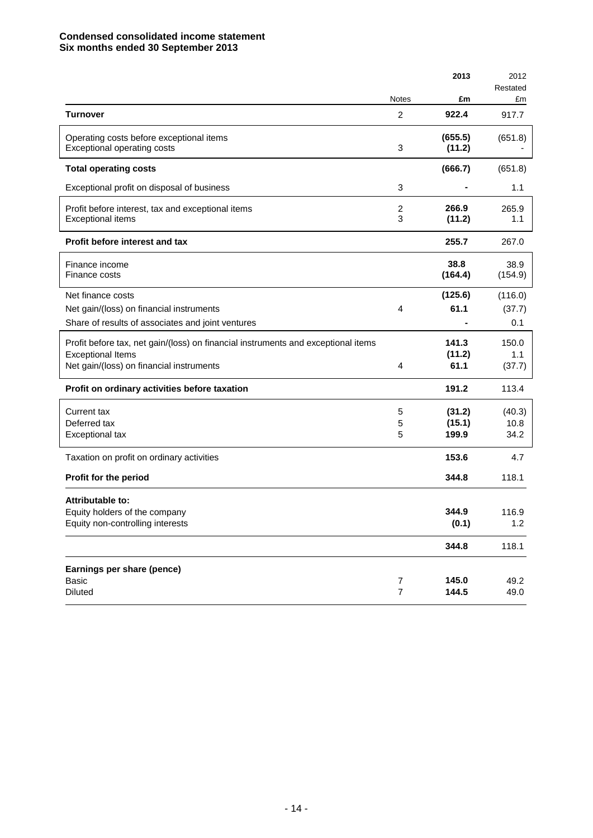### **Condensed consolidated income statement Six months ended 30 September 2013**

|                                                                                   |                     | 2013              | 2012<br>Restated |
|-----------------------------------------------------------------------------------|---------------------|-------------------|------------------|
|                                                                                   | <b>Notes</b>        | £m                | £m               |
| Turnover                                                                          | $\overline{2}$      | 922.4             | 917.7            |
| Operating costs before exceptional items<br><b>Exceptional operating costs</b>    | 3                   | (655.5)<br>(11.2) | (651.8)          |
| <b>Total operating costs</b>                                                      |                     | (666.7)           | (651.8)          |
| Exceptional profit on disposal of business                                        | 3                   |                   | 1.1              |
| Profit before interest, tax and exceptional items<br><b>Exceptional items</b>     | $\overline{c}$<br>3 | 266.9<br>(11.2)   | 265.9<br>1.1     |
| <b>Profit before interest and tax</b>                                             |                     | 255.7             | 267.0            |
| Finance income<br>Finance costs                                                   |                     | 38.8<br>(164.4)   | 38.9<br>(154.9)  |
| Net finance costs                                                                 |                     | (125.6)           | (116.0)          |
| Net gain/(loss) on financial instruments                                          | 4                   | 61.1              | (37.7)           |
| Share of results of associates and joint ventures                                 |                     |                   | 0.1              |
| Profit before tax, net gain/(loss) on financial instruments and exceptional items |                     | 141.3             | 150.0            |
| <b>Exceptional Items</b><br>Net gain/(loss) on financial instruments              | 4                   | (11.2)<br>61.1    | 1.1<br>(37.7)    |
|                                                                                   |                     |                   |                  |
| Profit on ordinary activities before taxation                                     |                     | 191.2             | 113.4            |
| Current tax                                                                       | 5                   | (31.2)            | (40.3)           |
| Deferred tax                                                                      | 5                   | (15.1)            | 10.8             |
| Exceptional tax                                                                   | 5                   | 199.9             | 34.2             |
| Taxation on profit on ordinary activities                                         |                     | 153.6             | 4.7              |
| Profit for the period                                                             |                     | 344.8             | 118.1            |
| Attributable to:                                                                  |                     |                   |                  |
| Equity holders of the company                                                     |                     | 344.9             | 116.9            |
| Equity non-controlling interests                                                  |                     | (0.1)             | 1.2              |
|                                                                                   |                     | 344.8             | 118.1            |
| Earnings per share (pence)                                                        |                     |                   |                  |
| Basic                                                                             | 7                   | 145.0             | 49.2             |
| Diluted                                                                           | $\overline{7}$      | 144.5             | 49.0             |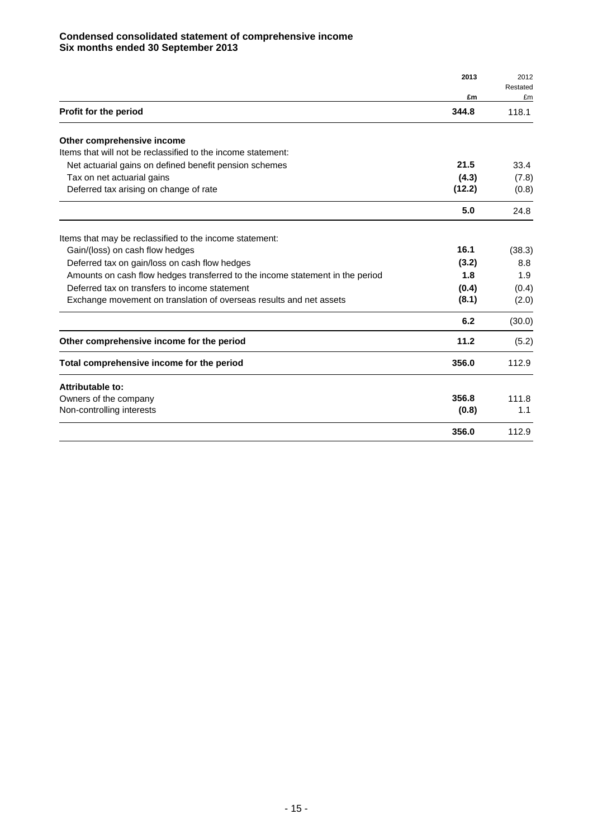### **Condensed consolidated statement of comprehensive income Six months ended 30 September 2013**

|                                                                               | 2013   | 2012           |
|-------------------------------------------------------------------------------|--------|----------------|
|                                                                               | £m     | Restated<br>£m |
| Profit for the period                                                         | 344.8  | 118.1          |
| Other comprehensive income                                                    |        |                |
| Items that will not be reclassified to the income statement:                  |        |                |
| Net actuarial gains on defined benefit pension schemes                        | 21.5   | 33.4           |
| Tax on net actuarial gains                                                    | (4.3)  | (7.8)          |
| Deferred tax arising on change of rate                                        | (12.2) | (0.8)          |
|                                                                               | 5.0    | 24.8           |
| Items that may be reclassified to the income statement:                       |        |                |
| Gain/(loss) on cash flow hedges                                               | 16.1   | (38.3)         |
| Deferred tax on gain/loss on cash flow hedges                                 | (3.2)  | 8.8            |
| Amounts on cash flow hedges transferred to the income statement in the period | 1.8    | 1.9            |
| Deferred tax on transfers to income statement                                 | (0.4)  | (0.4)          |
| Exchange movement on translation of overseas results and net assets           | (8.1)  | (2.0)          |
|                                                                               | 6.2    | (30.0)         |
| Other comprehensive income for the period                                     | 11.2   | (5.2)          |
| Total comprehensive income for the period                                     | 356.0  | 112.9          |
| Attributable to:                                                              |        |                |
| Owners of the company                                                         | 356.8  | 111.8          |
| Non-controlling interests                                                     | (0.8)  | 1.1            |
|                                                                               | 356.0  | 112.9          |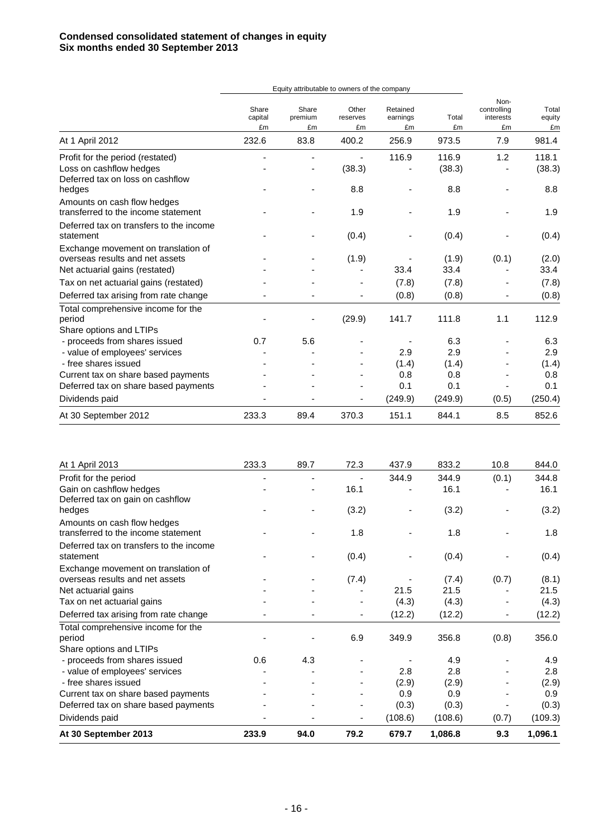| Non-<br>controlling<br>interests<br>£m | Total<br>equity |
|----------------------------------------|-----------------|
|                                        | £m              |
| 7.9                                    | 981.4           |
| 1.2                                    | 118.1<br>(38.3) |
|                                        | 8.8             |
|                                        | 1.9             |
|                                        | (0.4)           |
| (0.1)                                  | (2.0)           |
|                                        | 33.4            |
|                                        | (7.8)           |
|                                        | (0.8)           |
| 1.1                                    | 112.9           |
|                                        | 6.3             |
|                                        | 2.9             |
|                                        | (1.4)           |
|                                        | 0.8             |
|                                        | 0.1             |
| (0.5)                                  | (250.4)         |
|                                        |                 |
|                                        |                 |

| At 1 April 2013                                                    | 233.3 | 89.7 | 72.3  | 437.9   | 833.2   | 10.8  | 844.0   |
|--------------------------------------------------------------------|-------|------|-------|---------|---------|-------|---------|
| Profit for the period                                              |       |      |       | 344.9   | 344.9   | (0.1) | 344.8   |
| Gain on cashflow hedges                                            |       |      | 16.1  |         | 16.1    |       | 16.1    |
| Deferred tax on gain on cashflow<br>hedges                         |       |      | (3.2) |         | (3.2)   |       | (3.2)   |
| Amounts on cash flow hedges<br>transferred to the income statement |       |      | 1.8   |         | 1.8     |       | 1.8     |
| Deferred tax on transfers to the income<br>statement               |       |      | (0.4) |         | (0.4)   |       | (0.4)   |
| Exchange movement on translation of                                |       |      |       |         |         |       |         |
| overseas results and net assets                                    |       |      | (7.4) |         | (7.4)   | (0.7) | (8.1)   |
| Net actuarial gains                                                |       |      |       | 21.5    | 21.5    |       | 21.5    |
| Tax on net actuarial gains                                         |       |      |       | (4.3)   | (4.3)   |       | (4.3)   |
| Deferred tax arising from rate change                              |       |      |       | (12.2)  | (12.2)  |       | (12.2)  |
| Total comprehensive income for the                                 |       |      |       |         |         |       |         |
| period                                                             |       |      | 6.9   | 349.9   | 356.8   | (0.8) | 356.0   |
| Share options and LTIPs                                            |       |      |       |         |         |       |         |
| - proceeds from shares issued                                      | 0.6   | 4.3  |       |         | 4.9     |       | 4.9     |
| - value of employees' services                                     |       |      |       | 2.8     | 2.8     |       | 2.8     |
| - free shares issued                                               |       |      |       | (2.9)   | (2.9)   |       | (2.9)   |
| Current tax on share based payments                                |       |      |       | 0.9     | 0.9     |       | 0.9     |
| Deferred tax on share based payments                               |       |      |       | (0.3)   | (0.3)   |       | (0.3)   |
| Dividends paid                                                     |       |      |       | (108.6) | (108.6) | (0.7) | (109.3) |
| At 30 September 2013                                               | 233.9 | 94.0 | 79.2  | 679.7   | 1,086.8 | 9.3   | 1,096.1 |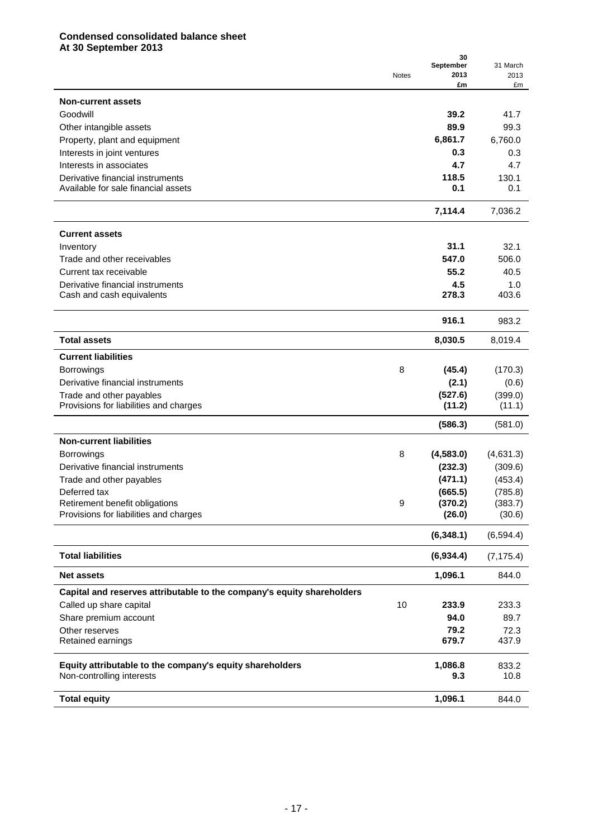### **Condensed consolidated balance sheet At 30 September 2013**

|                                                                         |       | 30<br>September | 31 March     |
|-------------------------------------------------------------------------|-------|-----------------|--------------|
|                                                                         | Notes | 2013            | 2013         |
|                                                                         |       | £m              | £m           |
| <b>Non-current assets</b>                                               |       |                 |              |
| Goodwill                                                                |       | 39.2            | 41.7         |
| Other intangible assets                                                 |       | 89.9            | 99.3         |
| Property, plant and equipment                                           |       | 6,861.7         | 6,760.0      |
| Interests in joint ventures                                             |       | 0.3             | 0.3          |
| Interests in associates                                                 |       | 4.7             | 4.7          |
| Derivative financial instruments<br>Available for sale financial assets |       | 118.5<br>0.1    | 130.1<br>0.1 |
|                                                                         |       | 7,114.4         | 7,036.2      |
| <b>Current assets</b>                                                   |       |                 |              |
| Inventory                                                               |       | 31.1            | 32.1         |
| Trade and other receivables                                             |       | 547.0           | 506.0        |
| Current tax receivable                                                  |       | 55.2            | 40.5         |
| Derivative financial instruments                                        |       | 4.5             | 1.0          |
| Cash and cash equivalents                                               |       | 278.3           | 403.6        |
|                                                                         |       | 916.1           | 983.2        |
| <b>Total assets</b>                                                     |       | 8,030.5         | 8,019.4      |
| <b>Current liabilities</b>                                              |       |                 |              |
| <b>Borrowings</b>                                                       | 8     | (45.4)          | (170.3)      |
| Derivative financial instruments                                        |       | (2.1)           | (0.6)        |
| Trade and other payables                                                |       | (527.6)         | (399.0)      |
| Provisions for liabilities and charges                                  |       | (11.2)          | (11.1)       |
|                                                                         |       | (586.3)         | (581.0)      |
| <b>Non-current liabilities</b>                                          |       |                 |              |
| <b>Borrowings</b>                                                       | 8     | (4, 583.0)      | (4,631.3)    |
| Derivative financial instruments                                        |       | (232.3)         | (309.6)      |
| Trade and other payables                                                |       | (471.1)         | (453.4)      |
| Deferred tax                                                            |       | (665.5)         | (785.8)      |
| Retirement benefit obligations                                          | 9     | (370.2)         | (383.7)      |
| Provisions for liabilities and charges                                  |       | (26.0)          | (30.6)       |
|                                                                         |       | (6,348.1)       | (6, 594.4)   |
| <b>Total liabilities</b>                                                |       | (6,934.4)       | (7, 175.4)   |
| <b>Net assets</b>                                                       |       | 1,096.1         | 844.0        |
| Capital and reserves attributable to the company's equity shareholders  |       |                 |              |
| Called up share capital                                                 | 10    | 233.9           | 233.3        |
| Share premium account                                                   |       | 94.0            | 89.7         |
| Other reserves                                                          |       | 79.2            | 72.3         |
| Retained earnings                                                       |       | 679.7           | 437.9        |
| Equity attributable to the company's equity shareholders                |       | 1,086.8         | 833.2        |
| Non-controlling interests                                               |       | 9.3             | 10.8         |
| <b>Total equity</b>                                                     |       | 1,096.1         | 844.0        |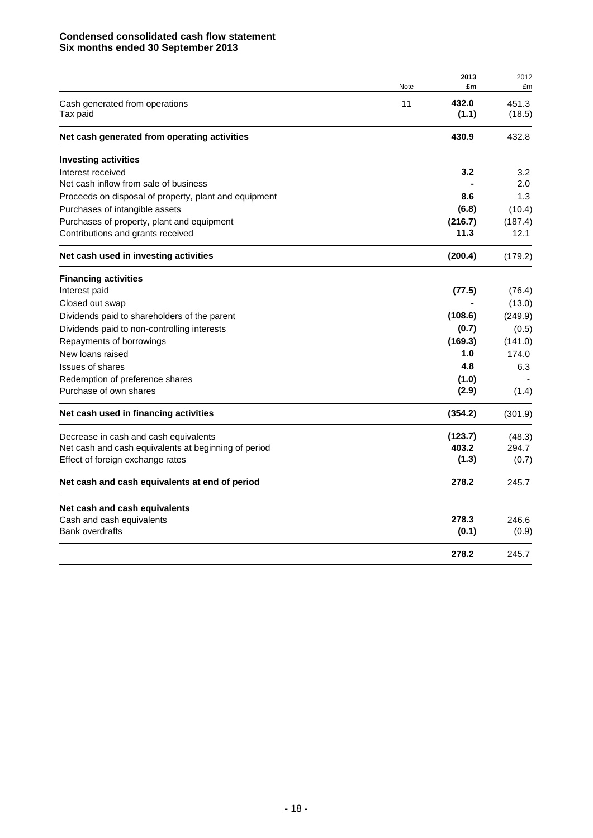### **Condensed consolidated cash flow statement Six months ended 30 September 2013**

|                                                       | Note | 2013<br>£m     | 2012<br>£m      |
|-------------------------------------------------------|------|----------------|-----------------|
| Cash generated from operations<br>Tax paid            | 11   | 432.0<br>(1.1) | 451.3<br>(18.5) |
| Net cash generated from operating activities          |      | 430.9          | 432.8           |
| <b>Investing activities</b>                           |      |                |                 |
| Interest received                                     |      | 3.2            | 3.2             |
| Net cash inflow from sale of business                 |      |                | 2.0             |
| Proceeds on disposal of property, plant and equipment |      | 8.6            | 1.3             |
| Purchases of intangible assets                        |      | (6.8)          | (10.4)          |
| Purchases of property, plant and equipment            |      | (216.7)        | (187.4)         |
| Contributions and grants received                     |      | 11.3           | 12.1            |
| Net cash used in investing activities                 |      | (200.4)        | (179.2)         |
| <b>Financing activities</b>                           |      |                |                 |
| Interest paid                                         |      | (77.5)         | (76.4)          |
| Closed out swap                                       |      |                | (13.0)          |
| Dividends paid to shareholders of the parent          |      | (108.6)        | (249.9)         |
| Dividends paid to non-controlling interests           |      | (0.7)          | (0.5)           |
| Repayments of borrowings                              |      | (169.3)        | (141.0)         |
| New loans raised                                      |      | 1.0            | 174.0           |
| <b>Issues of shares</b>                               |      | 4.8            | 6.3             |
| Redemption of preference shares                       |      | (1.0)          |                 |
| Purchase of own shares                                |      | (2.9)          | (1.4)           |
| Net cash used in financing activities                 |      | (354.2)        | (301.9)         |
| Decrease in cash and cash equivalents                 |      | (123.7)        | (48.3)          |
| Net cash and cash equivalents at beginning of period  |      | 403.2          | 294.7           |
| Effect of foreign exchange rates                      |      | (1.3)          | (0.7)           |
| Net cash and cash equivalents at end of period        |      | 278.2          | 245.7           |
| Net cash and cash equivalents                         |      |                |                 |
| Cash and cash equivalents                             |      | 278.3          | 246.6           |
| <b>Bank overdrafts</b>                                |      | (0.1)          | (0.9)           |
|                                                       |      | 278.2          | 245.7           |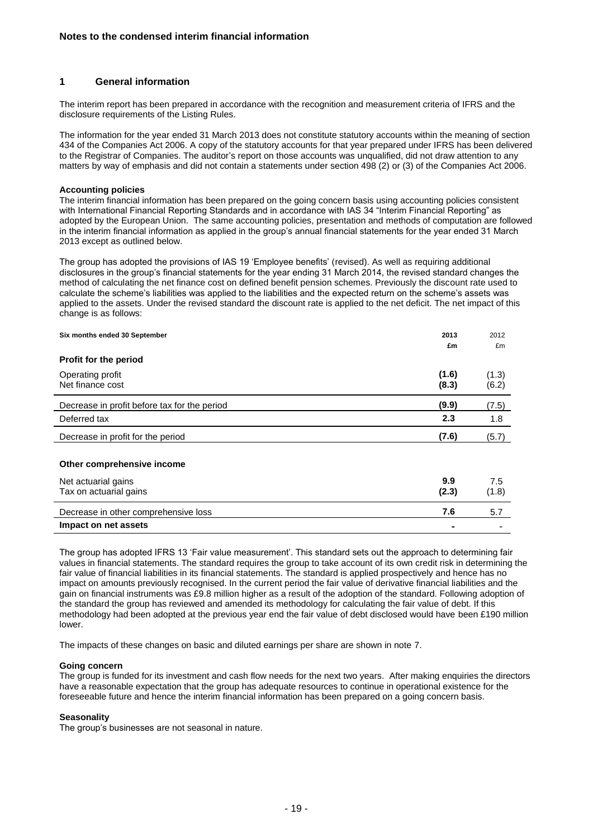#### **1 General information**

The interim report has been prepared in accordance with the recognition and measurement criteria of IFRS and the disclosure requirements of the Listing Rules.

The information for the year ended 31 March 2013 does not constitute statutory accounts within the meaning of section 434 of the Companies Act 2006. A copy of the statutory accounts for that year prepared under IFRS has been delivered to the Registrar of Companies. The auditor's report on those accounts was unqualified, did not draw attention to any matters by way of emphasis and did not contain a statements under section 498 (2) or (3) of the Companies Act 2006.

#### **Accounting policies**

The interim financial information has been prepared on the going concern basis using accounting policies consistent with International Financial Reporting Standards and in accordance with IAS 34 "Interim Financial Reporting" as adopted by the European Union. The same accounting policies, presentation and methods of computation are followed in the interim financial information as applied in the group's annual financial statements for the year ended 31 March 2013 except as outlined below.

The group has adopted the provisions of IAS 19 'Employee benefits' (revised). As well as requiring additional disclosures in the group's financial statements for the year ending 31 March 2014, the revised standard changes the method of calculating the net finance cost on defined benefit pension schemes. Previously the discount rate used to calculate the scheme's liabilities was applied to the liabilities and the expected return on the scheme's assets was applied to the assets. Under the revised standard the discount rate is applied to the net deficit. The net impact of this change is as follows:

| Six months ended 30 September                 | 2013<br>£m     | 2012<br>£m     |
|-----------------------------------------------|----------------|----------------|
| Profit for the period                         |                |                |
| Operating profit<br>Net finance cost          | (1.6)<br>(8.3) | (1.3)<br>(6.2) |
| Decrease in profit before tax for the period  | (9.9)          | (7.5)          |
| Deferred tax                                  | 2.3            | 1.8            |
| Decrease in profit for the period             | (7.6)          | (5.7)          |
| Other comprehensive income                    |                |                |
| Net actuarial gains<br>Tax on actuarial gains | 9.9<br>(2.3)   | 7.5<br>(1.8)   |
| Decrease in other comprehensive loss          | 7.6            | 5.7            |
| Impact on net assets                          |                |                |

The group has adopted IFRS 13 'Fair value measurement'. This standard sets out the approach to determining fair values in financial statements. The standard requires the group to take account of its own credit risk in determining the fair value of financial liabilities in its financial statements. The standard is applied prospectively and hence has no impact on amounts previously recognised. In the current period the fair value of derivative financial liabilities and the gain on financial instruments was £9.8 million higher as a result of the adoption of the standard. Following adoption of the standard the group has reviewed and amended its methodology for calculating the fair value of debt. If this methodology had been adopted at the previous year end the fair value of debt disclosed would have been £190 million lower.

The impacts of these changes on basic and diluted earnings per share are shown in note 7.

#### **Going concern**

The group is funded for its investment and cash flow needs for the next two years. After making enquiries the directors have a reasonable expectation that the group has adequate resources to continue in operational existence for the foreseeable future and hence the interim financial information has been prepared on a going concern basis.

#### **Seasonality**

The group's businesses are not seasonal in nature.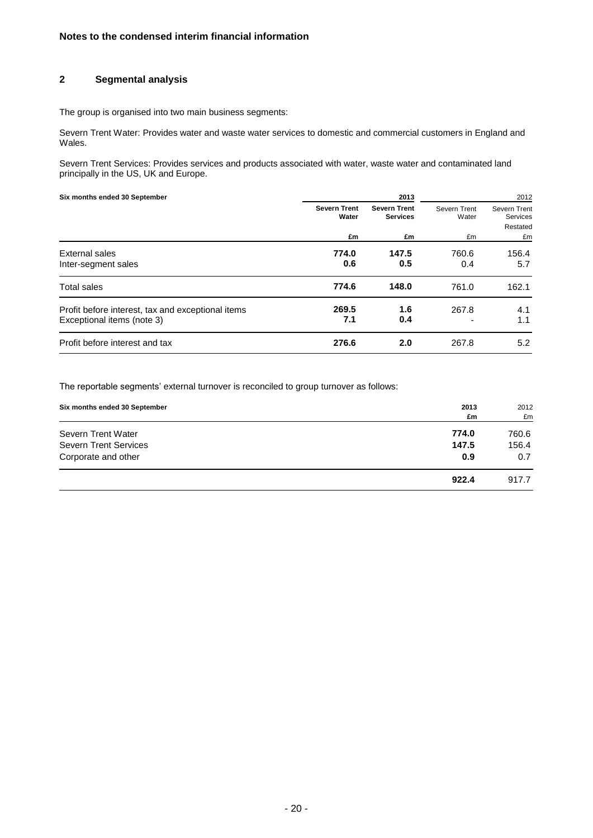### **2 Segmental analysis**

The group is organised into two main business segments:

Severn Trent Water: Provides water and waste water services to domestic and commercial customers in England and Wales.

Severn Trent Services: Provides services and products associated with water, waste water and contaminated land principally in the US, UK and Europe.

| Six months ended 30 September                     |                              | 2013                                   | 2012                  |                                 |
|---------------------------------------------------|------------------------------|----------------------------------------|-----------------------|---------------------------------|
|                                                   | <b>Severn Trent</b><br>Water | <b>Severn Trent</b><br><b>Services</b> | Severn Trent<br>Water | Severn Trent<br><b>Services</b> |
|                                                   |                              |                                        |                       | Restated                        |
|                                                   | £m                           | £m                                     | £m                    | £m                              |
| External sales                                    | 774.0                        | 147.5                                  | 760.6                 | 156.4                           |
| Inter-segment sales                               | 0.6                          | 0.5                                    | 0.4                   | 5.7                             |
| <b>Total sales</b>                                | 774.6                        | 148.0                                  | 761.0                 | 162.1                           |
| Profit before interest, tax and exceptional items | 269.5                        | 1.6                                    | 267.8                 | 4.1                             |
| Exceptional items (note 3)                        | 7.1                          | 0.4                                    |                       | 1.1                             |
| Profit before interest and tax                    | 276.6                        | 2.0                                    | 267.8                 | 5.2                             |

The reportable segments' external turnover is reconciled to group turnover as follows:

| Six months ended 30 September | 2013<br>£m | 2012<br>£m |
|-------------------------------|------------|------------|
| Severn Trent Water            | 774.0      | 760.6      |
| <b>Severn Trent Services</b>  | 147.5      | 156.4      |
| Corporate and other           | 0.9        | 0.7        |
|                               | 922.4      | 917.7      |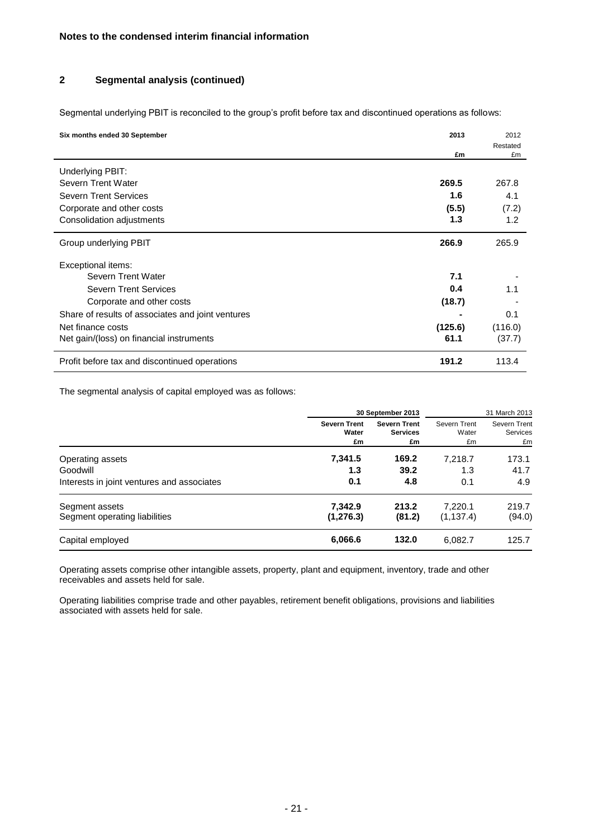### **2 Segmental analysis (continued)**

Segmental underlying PBIT is reconciled to the group's profit before tax and discontinued operations as follows:

| Six months ended 30 September                     | 2013    | 2012<br>Restated |
|---------------------------------------------------|---------|------------------|
|                                                   | £m      | £m               |
| Underlying PBIT:                                  |         |                  |
| Severn Trent Water                                | 269.5   | 267.8            |
| <b>Severn Trent Services</b>                      | 1.6     | 4.1              |
| Corporate and other costs                         | (5.5)   | (7.2)            |
| Consolidation adjustments                         | 1.3     | 1.2              |
| Group underlying PBIT                             | 266.9   | 265.9            |
| Exceptional items:                                |         |                  |
| Severn Trent Water                                | 7.1     |                  |
| <b>Severn Trent Services</b>                      | 0.4     | 1.1              |
| Corporate and other costs                         | (18.7)  |                  |
| Share of results of associates and joint ventures |         | 0.1              |
| Net finance costs                                 | (125.6) | (116.0)          |
| Net gain/(loss) on financial instruments          | 61.1    | (37.7)           |
| Profit before tax and discontinued operations     | 191.2   | 113.4            |

The segmental analysis of capital employed was as follows:

|                                                 | 30 September 2013            |                                        |                       | 31 March 2013                   |
|-------------------------------------------------|------------------------------|----------------------------------------|-----------------------|---------------------------------|
|                                                 | <b>Severn Trent</b><br>Water | <b>Severn Trent</b><br><b>Services</b> | Severn Trent<br>Water | Severn Trent<br><b>Services</b> |
|                                                 | £m                           | £m                                     | £m                    | £m                              |
| Operating assets                                | 7,341.5                      | 169.2                                  | 7,218.7               | 173.1                           |
| Goodwill                                        | 1.3                          | 39.2                                   | 1.3                   | 41.7                            |
| Interests in joint ventures and associates      | 0.1                          | 4.8                                    | 0.1                   | 4.9                             |
| Segment assets<br>Segment operating liabilities | 7,342.9<br>(1, 276.3)        | 213.2<br>(81.2)                        | 7,220.1<br>(1, 137.4) | 219.7<br>(94.0)                 |
| Capital employed                                | 6,066.6                      | 132.0                                  | 6,082.7               | 125.7                           |

Operating assets comprise other intangible assets, property, plant and equipment, inventory, trade and other receivables and assets held for sale.

Operating liabilities comprise trade and other payables, retirement benefit obligations, provisions and liabilities associated with assets held for sale.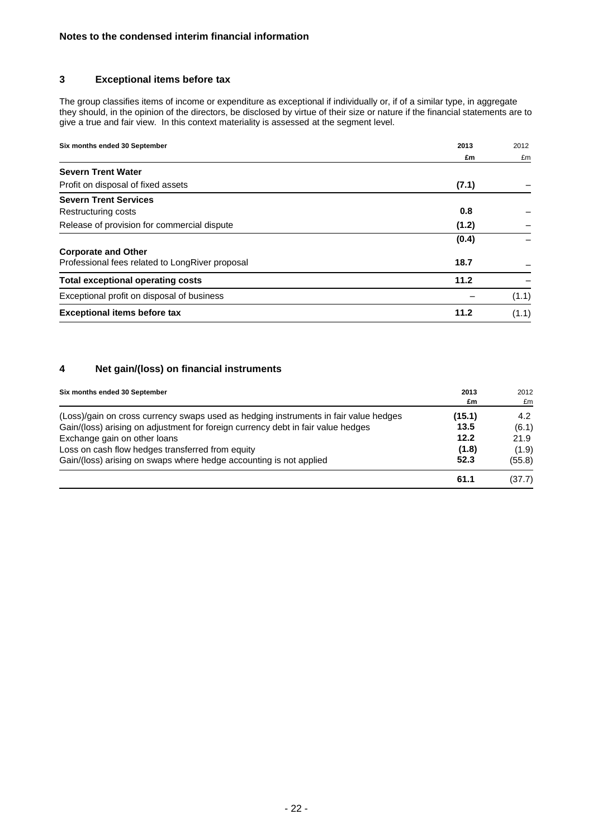### **3 Exceptional items before tax**

The group classifies items of income or expenditure as exceptional if individually or, if of a similar type, in aggregate they should, in the opinion of the directors, be disclosed by virtue of their size or nature if the financial statements are to give a true and fair view. In this context materiality is assessed at the segment level.

| Six months ended 30 September                   | 2013  | 2012  |
|-------------------------------------------------|-------|-------|
|                                                 | £m    | £m    |
| <b>Severn Trent Water</b>                       |       |       |
| Profit on disposal of fixed assets              | (7.1) |       |
| <b>Severn Trent Services</b>                    |       |       |
| Restructuring costs                             | 0.8   |       |
| Release of provision for commercial dispute     | (1.2) |       |
|                                                 | (0.4) |       |
| <b>Corporate and Other</b>                      |       |       |
| Professional fees related to LongRiver proposal | 18.7  |       |
| <b>Total exceptional operating costs</b>        | 11.2  |       |
| Exceptional profit on disposal of business      |       | (1.1) |
| <b>Exceptional items before tax</b>             | 11.2  | (1.1) |

### **4 Net gain/(loss) on financial instruments**

| Six months ended 30 September                                                        | 2013<br>£m | 2012<br>£m |
|--------------------------------------------------------------------------------------|------------|------------|
| (Loss)/gain on cross currency swaps used as hedging instruments in fair value hedges | (15.1)     | 4.2        |
| Gain/(loss) arising on adjustment for foreign currency debt in fair value hedges     | 13.5       | (6.1)      |
| Exchange gain on other loans                                                         | 12.2       | 21.9       |
| Loss on cash flow hedges transferred from equity                                     | (1.8)      | (1.9)      |
| Gain/(loss) arising on swaps where hedge accounting is not applied                   | 52.3       | (55.8)     |
|                                                                                      | 61.1       | (37.7)     |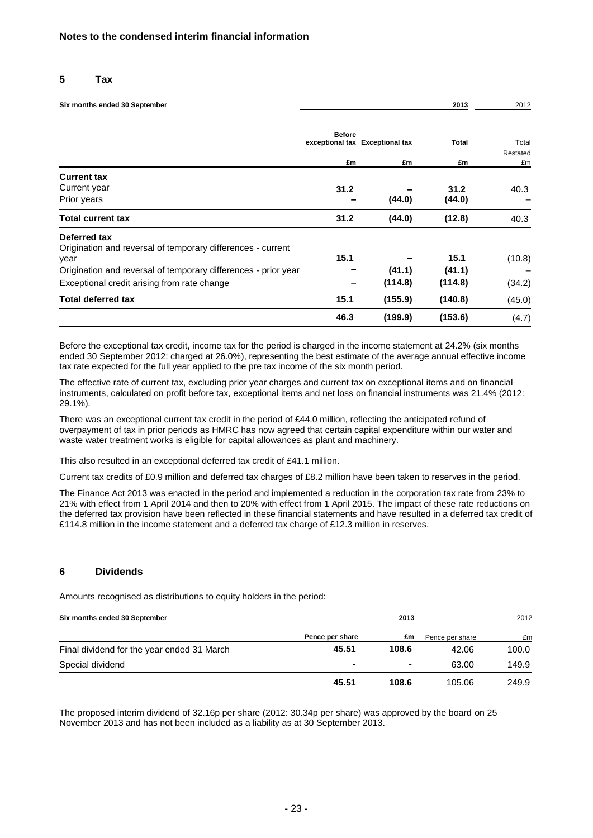#### **5 Tax**

| Six months ended 30 September                                  |               |                                 | 2013    | 2012           |
|----------------------------------------------------------------|---------------|---------------------------------|---------|----------------|
|                                                                | <b>Before</b> | exceptional tax Exceptional tax | Total   | Total          |
|                                                                | £m            | £m                              | £m      | Restated<br>£m |
| <b>Current tax</b>                                             |               |                                 |         |                |
| Current year                                                   | 31.2          |                                 | 31.2    | 40.3           |
| Prior years                                                    |               | (44.0)                          | (44.0)  |                |
| <b>Total current tax</b>                                       | 31.2          | (44.0)                          | (12.8)  | 40.3           |
| Deferred tax                                                   |               |                                 |         |                |
| Origination and reversal of temporary differences - current    |               |                                 |         |                |
| year                                                           | 15.1          |                                 | 15.1    | (10.8)         |
| Origination and reversal of temporary differences - prior year |               | (41.1)                          | (41.1)  |                |
| Exceptional credit arising from rate change                    | -             | (114.8)                         | (114.8) | (34.2)         |
| <b>Total deferred tax</b>                                      | 15.1          | (155.9)                         | (140.8) | (45.0)         |
|                                                                | 46.3          | (199.9)                         | (153.6) | (4.7)          |

Before the exceptional tax credit, income tax for the period is charged in the income statement at 24.2% (six months ended 30 September 2012: charged at 26.0%), representing the best estimate of the average annual effective income tax rate expected for the full year applied to the pre tax income of the six month period.

The effective rate of current tax, excluding prior year charges and current tax on exceptional items and on financial instruments, calculated on profit before tax, exceptional items and net loss on financial instruments was 21.4% (2012: 29.1%).

There was an exceptional current tax credit in the period of £44.0 million, reflecting the anticipated refund of overpayment of tax in prior periods as HMRC has now agreed that certain capital expenditure within our water and waste water treatment works is eligible for capital allowances as plant and machinery.

This also resulted in an exceptional deferred tax credit of £41.1 million.

Current tax credits of £0.9 million and deferred tax charges of £8.2 million have been taken to reserves in the period.

The Finance Act 2013 was enacted in the period and implemented a reduction in the corporation tax rate from 23% to 21% with effect from 1 April 2014 and then to 20% with effect from 1 April 2015. The impact of these rate reductions on the deferred tax provision have been reflected in these financial statements and have resulted in a deferred tax credit of £114.8 million in the income statement and a deferred tax charge of £12.3 million in reserves.

### **6 Dividends**

Amounts recognised as distributions to equity holders in the period:

| Six months ended 30 September              | 2013            |                |                 |       |  | 2012 |  |
|--------------------------------------------|-----------------|----------------|-----------------|-------|--|------|--|
|                                            | Pence per share | £m             | Pence per share | £m    |  |      |  |
| Final dividend for the year ended 31 March | 45.51           | 108.6          | 42.06           | 100.0 |  |      |  |
| Special dividend                           | $\blacksquare$  | $\blacksquare$ | 63.00           | 149.9 |  |      |  |
|                                            | 45.51           | 108.6          | 105.06          | 249.9 |  |      |  |

The proposed interim dividend of 32.16p per share (2012: 30.34p per share) was approved by the board on 25 November 2013 and has not been included as a liability as at 30 September 2013.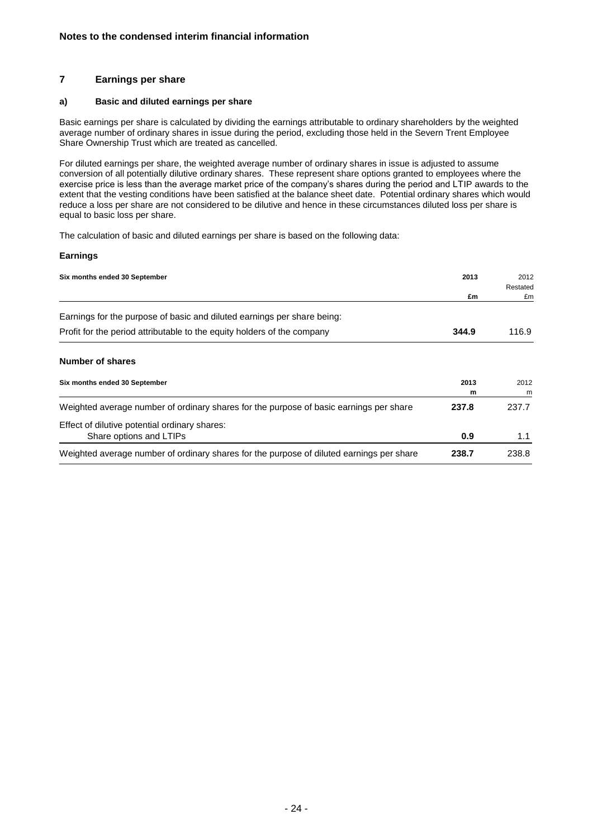### **7 Earnings per share**

#### **a) Basic and diluted earnings per share**

Basic earnings per share is calculated by dividing the earnings attributable to ordinary shareholders by the weighted average number of ordinary shares in issue during the period, excluding those held in the Severn Trent Employee Share Ownership Trust which are treated as cancelled.

For diluted earnings per share, the weighted average number of ordinary shares in issue is adjusted to assume conversion of all potentially dilutive ordinary shares. These represent share options granted to employees where the exercise price is less than the average market price of the company's shares during the period and LTIP awards to the extent that the vesting conditions have been satisfied at the balance sheet date. Potential ordinary shares which would reduce a loss per share are not considered to be dilutive and hence in these circumstances diluted loss per share is equal to basic loss per share.

The calculation of basic and diluted earnings per share is based on the following data:

#### **Earnings**

| Six months ended 30 September                                                            | 2013      | 2012           |
|------------------------------------------------------------------------------------------|-----------|----------------|
|                                                                                          | £m        | Restated<br>£m |
| Earnings for the purpose of basic and diluted earnings per share being:                  |           |                |
| Profit for the period attributable to the equity holders of the company                  | 344.9     | 116.9          |
| Number of shares                                                                         |           |                |
| Six months ended 30 September                                                            | 2013<br>m | 2012<br>m      |
| Weighted average number of ordinary shares for the purpose of basic earnings per share   | 237.8     | 237.7          |
| Effect of dilutive potential ordinary shares:<br>Share options and LTIPs                 | 0.9       | 1.1            |
| Weighted average number of ordinary shares for the purpose of diluted earnings per share | 238.7     | 238.8          |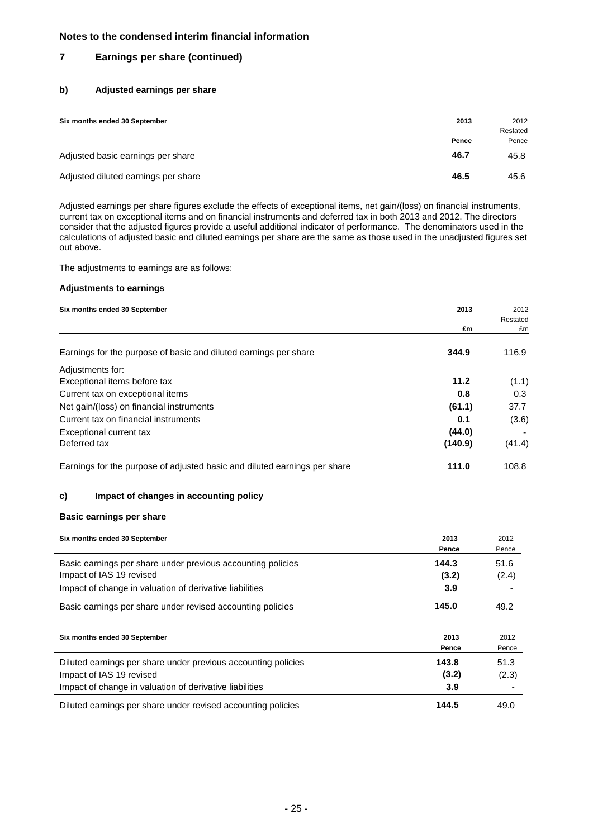### **Notes to the condensed interim financial information**

### **7 Earnings per share (continued)**

#### **b) Adjusted earnings per share**

| Six months ended 30 September       | 2013  | 2012<br>Restated |
|-------------------------------------|-------|------------------|
|                                     | Pence | Pence            |
| Adjusted basic earnings per share   | 46.7  | 45.8             |
| Adjusted diluted earnings per share | 46.5  | 45.6             |

Adjusted earnings per share figures exclude the effects of exceptional items, net gain/(loss) on financial instruments, current tax on exceptional items and on financial instruments and deferred tax in both 2013 and 2012. The directors consider that the adjusted figures provide a useful additional indicator of performance. The denominators used in the calculations of adjusted basic and diluted earnings per share are the same as those used in the unadjusted figures set out above.

The adjustments to earnings are as follows:

#### **Adjustments to earnings**

| Six months ended 30 September                                             | 2013    | 2012<br>Restated |
|---------------------------------------------------------------------------|---------|------------------|
|                                                                           | £m      | £m               |
| Earnings for the purpose of basic and diluted earnings per share          | 344.9   | 116.9            |
| Adjustments for:                                                          |         |                  |
| Exceptional items before tax                                              | 11.2    | (1.1)            |
| Current tax on exceptional items                                          | 0.8     | 0.3              |
| Net gain/(loss) on financial instruments                                  | (61.1)  | 37.7             |
| Current tax on financial instruments                                      | 0.1     | (3.6)            |
| Exceptional current tax                                                   | (44.0)  |                  |
| Deferred tax                                                              | (140.9) | (41.4)           |
| Earnings for the purpose of adjusted basic and diluted earnings per share | 111.0   | 108.8            |

### **c) Impact of changes in accounting policy**

#### **Basic earnings per share**

| Six months ended 30 September                                 | 2013          | 2012          |
|---------------------------------------------------------------|---------------|---------------|
|                                                               | Pence         | Pence         |
| Basic earnings per share under previous accounting policies   | 144.3         | 51.6          |
| Impact of IAS 19 revised                                      | (3.2)         | (2.4)         |
| Impact of change in valuation of derivative liabilities       | 3.9           |               |
| Basic earnings per share under revised accounting policies    | 145.0         | 49.2          |
| Six months ended 30 September                                 | 2013<br>Pence | 2012<br>Pence |
| Diluted earnings per share under previous accounting policies | 143.8         | 51.3          |
| Impact of IAS 19 revised                                      | (3.2)         | (2.3)         |
| Impact of change in valuation of derivative liabilities       | 3.9           |               |
| Diluted earnings per share under revised accounting policies  | 144.5         | 49.0          |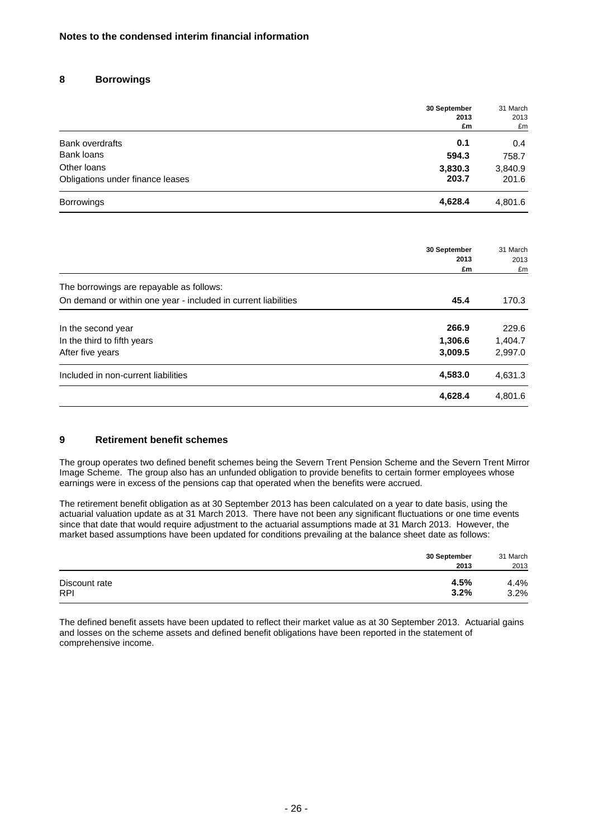### **8 Borrowings**

|                                  | 30 September<br>2013<br>£m | 31 March<br>2013<br>£m |
|----------------------------------|----------------------------|------------------------|
| <b>Bank overdrafts</b>           | 0.1                        | 0.4                    |
| Bank loans                       | 594.3                      | 758.7                  |
| Other loans                      | 3,830.3                    | 3,840.9                |
| Obligations under finance leases | 203.7                      | 201.6                  |
| <b>Borrowings</b>                | 4,628.4                    | 4,801.6                |

|                                                                | 30 September | 31 March |
|----------------------------------------------------------------|--------------|----------|
|                                                                | 2013         | 2013     |
|                                                                | £m           | £m       |
| The borrowings are repayable as follows:                       |              |          |
| On demand or within one year - included in current liabilities | 45.4         | 170.3    |
| In the second year                                             | 266.9        | 229.6    |
| In the third to fifth years                                    | 1,306.6      | 1,404.7  |
| After five years                                               | 3,009.5      | 2,997.0  |
| Included in non-current liabilities                            | 4,583.0      | 4,631.3  |
|                                                                | 4,628.4      | 4,801.6  |

#### **9 Retirement benefit schemes**

The group operates two defined benefit schemes being the Severn Trent Pension Scheme and the Severn Trent Mirror Image Scheme. The group also has an unfunded obligation to provide benefits to certain former employees whose earnings were in excess of the pensions cap that operated when the benefits were accrued.

The retirement benefit obligation as at 30 September 2013 has been calculated on a year to date basis, using the actuarial valuation update as at 31 March 2013. There have not been any significant fluctuations or one time events since that date that would require adjustment to the actuarial assumptions made at 31 March 2013. However, the market based assumptions have been updated for conditions prevailing at the balance sheet date as follows:

| 30 September                                | 31 March     |
|---------------------------------------------|--------------|
| 2013                                        | 2013         |
| 4.5%<br>Discount rate<br><b>RPI</b><br>3.2% | 4.4%<br>3.2% |

The defined benefit assets have been updated to reflect their market value as at 30 September 2013. Actuarial gains and losses on the scheme assets and defined benefit obligations have been reported in the statement of comprehensive income.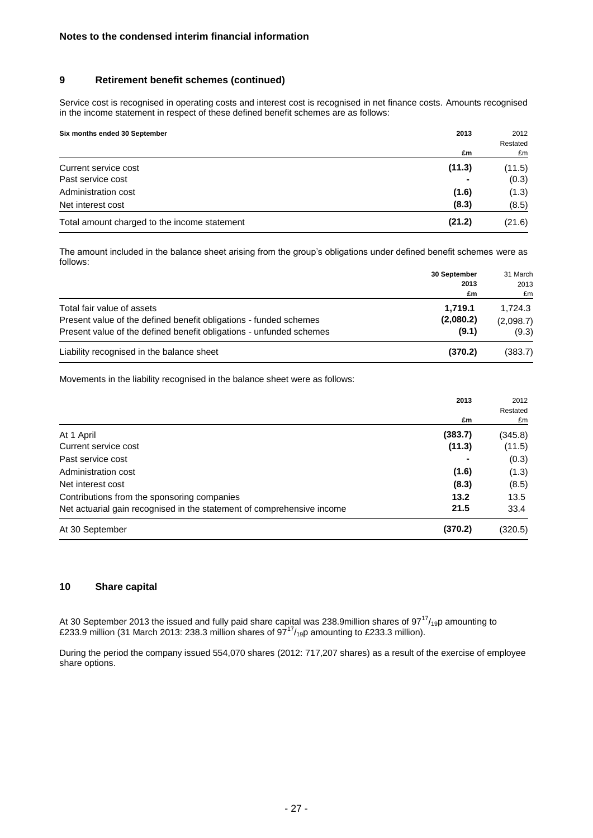### **9 Retirement benefit schemes (continued)**

Service cost is recognised in operating costs and interest cost is recognised in net finance costs. Amounts recognised in the income statement in respect of these defined benefit schemes are as follows:

| Six months ended 30 September                | 2013           | 2012<br>Restated |
|----------------------------------------------|----------------|------------------|
|                                              | £m             | £m               |
| Current service cost                         | (11.3)         | (11.5)           |
| Past service cost                            | $\blacksquare$ | (0.3)            |
| Administration cost                          | (1.6)          | (1.3)            |
| Net interest cost                            | (8.3)          | (8.5)            |
| Total amount charged to the income statement | (21.2)         | (21.6)           |

The amount included in the balance sheet arising from the group's obligations under defined benefit schemes were as follows:

| 30 September                                                                   | 31 March  |  |
|--------------------------------------------------------------------------------|-----------|--|
| 2013                                                                           | 2013      |  |
| £m                                                                             | £m        |  |
| Total fair value of assets<br>1.719.1                                          | 1,724.3   |  |
| (2,080.2)<br>Present value of the defined benefit obligations - funded schemes | (2,098.7) |  |
| (9.1)<br>Present value of the defined benefit obligations - unfunded schemes   | (9.3)     |  |
| Liability recognised in the balance sheet<br>(370.2)                           | (383.7)   |  |

Movements in the liability recognised in the balance sheet were as follows:

|                                                                        | 2013    | 2012     |
|------------------------------------------------------------------------|---------|----------|
|                                                                        |         | Restated |
|                                                                        | £m      | £m       |
| At 1 April                                                             | (383.7) | (345.8)  |
| Current service cost                                                   | (11.3)  | (11.5)   |
| Past service cost                                                      |         | (0.3)    |
| Administration cost                                                    | (1.6)   | (1.3)    |
| Net interest cost                                                      | (8.3)   | (8.5)    |
| Contributions from the sponsoring companies                            | 13.2    | 13.5     |
| Net actuarial gain recognised in the statement of comprehensive income | 21.5    | 33.4     |
| At 30 September                                                        | (370.2) | (320.5)  |

### **10 Share capital**

At 30 September 2013 the issued and fully paid share capital was 238.9million shares of 97 $^{17}/_{19}$ p amounting to £233.9 million (31 March 2013: 238.3 million shares of  $97^{17}/_{19}$ p amounting to £233.3 million).

During the period the company issued 554,070 shares (2012: 717,207 shares) as a result of the exercise of employee share options.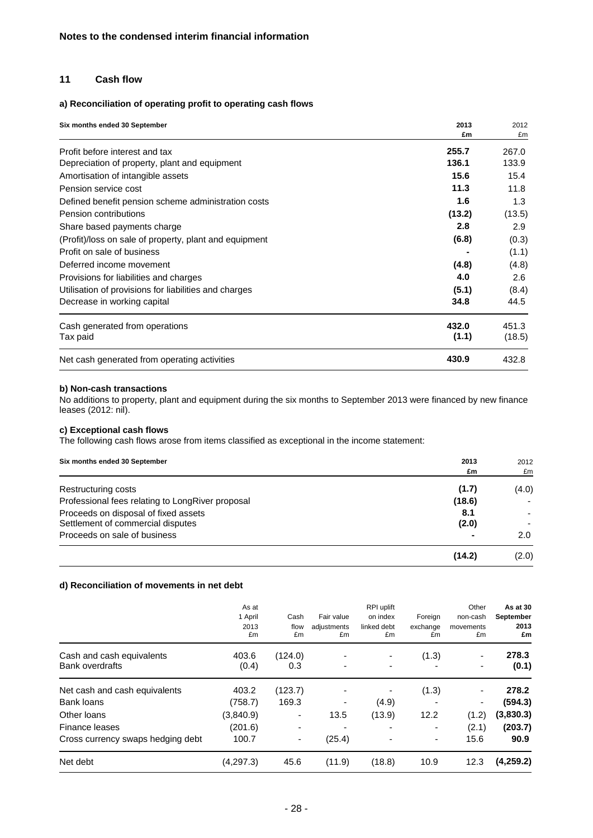### **11 Cash flow**

#### **a) Reconciliation of operating profit to operating cash flows**

| Six months ended 30 September                          | 2013<br>£m     | 2012<br>£m      |
|--------------------------------------------------------|----------------|-----------------|
| Profit before interest and tax                         | 255.7          | 267.0           |
| Depreciation of property, plant and equipment          | 136.1          | 133.9           |
| Amortisation of intangible assets                      | 15.6           | 15.4            |
| Pension service cost                                   | 11.3           | 11.8            |
| Defined benefit pension scheme administration costs    | 1.6            | 1.3             |
| Pension contributions                                  | (13.2)         | (13.5)          |
| Share based payments charge                            | 2.8            | 2.9             |
| (Profit)/loss on sale of property, plant and equipment | (6.8)          | (0.3)           |
| Profit on sale of business                             |                | (1.1)           |
| Deferred income movement                               | (4.8)          | (4.8)           |
| Provisions for liabilities and charges                 | 4.0            | 2.6             |
| Utilisation of provisions for liabilities and charges  | (5.1)          | (8.4)           |
| Decrease in working capital                            | 34.8           | 44.5            |
| Cash generated from operations<br>Tax paid             | 432.0<br>(1.1) | 451.3<br>(18.5) |
| Net cash generated from operating activities           | 430.9          | 432.8           |

#### **b) Non-cash transactions**

No additions to property, plant and equipment during the six months to September 2013 were financed by new finance leases (2012: nil).

#### **c) Exceptional cash flows**

The following cash flows arose from items classified as exceptional in the income statement:

| Six months ended 30 September                    | 2013<br>£m | 2012<br>£m |
|--------------------------------------------------|------------|------------|
| Restructuring costs                              | (1.7)      | (4.0)      |
| Professional fees relating to LongRiver proposal | (18.6)     |            |
| Proceeds on disposal of fixed assets             | 8.1        |            |
| Settlement of commercial disputes                | (2.0)      |            |
| Proceeds on sale of business                     | 2.0        |            |
|                                                  | (14.2)     | (2.0)      |

### **d) Reconciliation of movements in net debt**

|                                                     | As at<br>1 April<br>2013<br>£m | Cash<br>flow<br>£m | Fair value<br>adjustments<br>£m | RPI uplift<br>on index<br>linked debt<br>£m | Foreign<br>exchange<br>£m | Other<br>non-cash<br>movements<br>£m | As at 30<br>September<br>2013<br>£m |
|-----------------------------------------------------|--------------------------------|--------------------|---------------------------------|---------------------------------------------|---------------------------|--------------------------------------|-------------------------------------|
| Cash and cash equivalents<br><b>Bank overdrafts</b> | 403.6<br>(0.4)                 | (124.0)<br>0.3     | $\overline{\phantom{0}}$        | ٠                                           | (1.3)                     | ٠<br>٠                               | 278.3<br>(0.1)                      |
| Net cash and cash equivalents<br>Bank loans         | 403.2<br>(758.7)               | (123.7)<br>169.3   | $\overline{\phantom{0}}$        | (4.9)                                       | (1.3)                     | ۰                                    | 278.2<br>(594.3)                    |
| Other loans                                         | (3,840.9)                      | ۰.                 | 13.5                            | (13.9)                                      | 12.2                      | (1.2)                                | (3,830.3)                           |
| Finance leases                                      | (201.6)                        | ٠                  |                                 |                                             | ۰                         | (2.1)                                | (203.7)                             |
| Cross currency swaps hedging debt                   | 100.7                          | ۰.                 | (25.4)                          |                                             | ۰                         | 15.6                                 | 90.9                                |
| Net debt                                            | (4, 297.3)                     | 45.6               | (11.9)                          | (18.8)                                      | 10.9                      | 12.3                                 | (4,259.2)                           |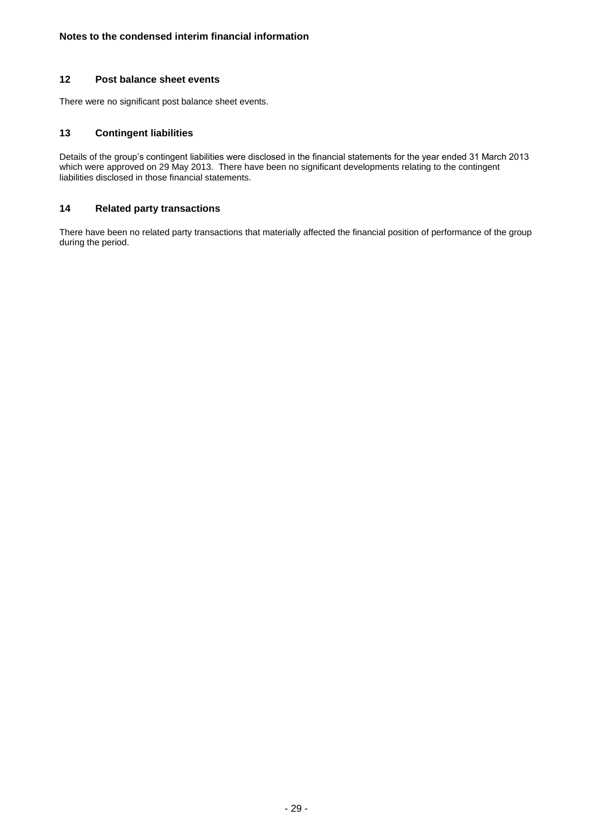### **12 Post balance sheet events**

There were no significant post balance sheet events.

### **13 Contingent liabilities**

Details of the group's contingent liabilities were disclosed in the financial statements for the year ended 31 March 2013 which were approved on 29 May 2013. There have been no significant developments relating to the contingent liabilities disclosed in those financial statements.

### **14 Related party transactions**

There have been no related party transactions that materially affected the financial position of performance of the group during the period.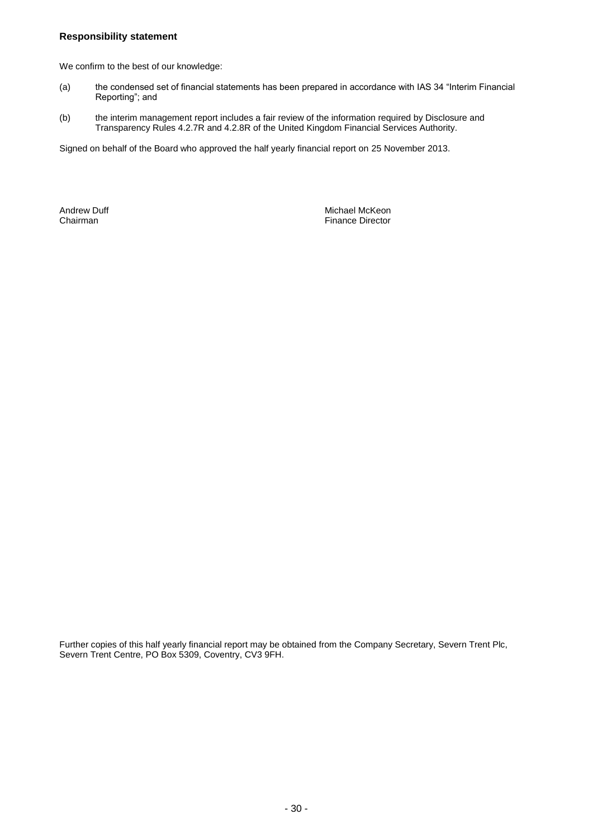#### **Responsibility statement**

We confirm to the best of our knowledge:

- (a) the condensed set of financial statements has been prepared in accordance with IAS 34 "Interim Financial Reporting"; and
- (b) the interim management report includes a fair review of the information required by Disclosure and Transparency Rules 4.2.7R and 4.2.8R of the United Kingdom Financial Services Authority.

Signed on behalf of the Board who approved the half yearly financial report on 25 November 2013.

Andrew Duff Michael McKeon Chairman Finance Director

Further copies of this half yearly financial report may be obtained from the Company Secretary, Severn Trent Plc, Severn Trent Centre, PO Box 5309, Coventry, CV3 9FH.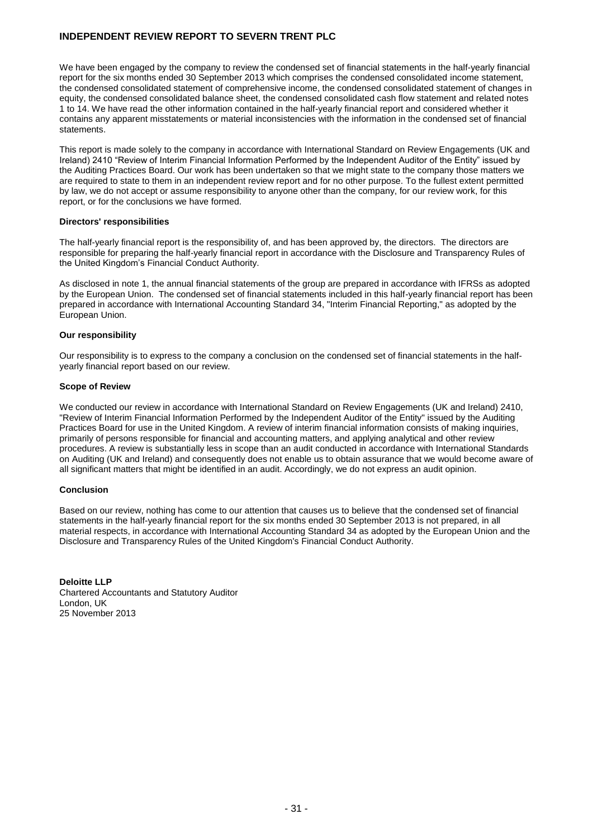### **INDEPENDENT REVIEW REPORT TO SEVERN TRENT PLC**

We have been engaged by the company to review the condensed set of financial statements in the half-yearly financial report for the six months ended 30 September 2013 which comprises the condensed consolidated income statement, the condensed consolidated statement of comprehensive income, the condensed consolidated statement of changes in equity, the condensed consolidated balance sheet, the condensed consolidated cash flow statement and related notes 1 to 14. We have read the other information contained in the half-yearly financial report and considered whether it contains any apparent misstatements or material inconsistencies with the information in the condensed set of financial statements.

This report is made solely to the company in accordance with International Standard on Review Engagements (UK and Ireland) 2410 "Review of Interim Financial Information Performed by the Independent Auditor of the Entity" issued by the Auditing Practices Board. Our work has been undertaken so that we might state to the company those matters we are required to state to them in an independent review report and for no other purpose. To the fullest extent permitted by law, we do not accept or assume responsibility to anyone other than the company, for our review work, for this report, or for the conclusions we have formed.

#### **Directors' responsibilities**

The half-yearly financial report is the responsibility of, and has been approved by, the directors. The directors are responsible for preparing the half-yearly financial report in accordance with the Disclosure and Transparency Rules of the United Kingdom's Financial Conduct Authority.

As disclosed in note 1, the annual financial statements of the group are prepared in accordance with IFRSs as adopted by the European Union. The condensed set of financial statements included in this half-yearly financial report has been prepared in accordance with International Accounting Standard 34, "Interim Financial Reporting," as adopted by the European Union.

#### **Our responsibility**

Our responsibility is to express to the company a conclusion on the condensed set of financial statements in the halfyearly financial report based on our review.

#### **Scope of Review**

We conducted our review in accordance with International Standard on Review Engagements (UK and Ireland) 2410, "Review of Interim Financial Information Performed by the Independent Auditor of the Entity" issued by the Auditing Practices Board for use in the United Kingdom. A review of interim financial information consists of making inquiries, primarily of persons responsible for financial and accounting matters, and applying analytical and other review procedures. A review is substantially less in scope than an audit conducted in accordance with International Standards on Auditing (UK and Ireland) and consequently does not enable us to obtain assurance that we would become aware of all significant matters that might be identified in an audit. Accordingly, we do not express an audit opinion.

#### **Conclusion**

Based on our review, nothing has come to our attention that causes us to believe that the condensed set of financial statements in the half-yearly financial report for the six months ended 30 September 2013 is not prepared, in all material respects, in accordance with International Accounting Standard 34 as adopted by the European Union and the Disclosure and Transparency Rules of the United Kingdom's Financial Conduct Authority.

**Deloitte LLP** Chartered Accountants and Statutory Auditor London, UK 25 November 2013